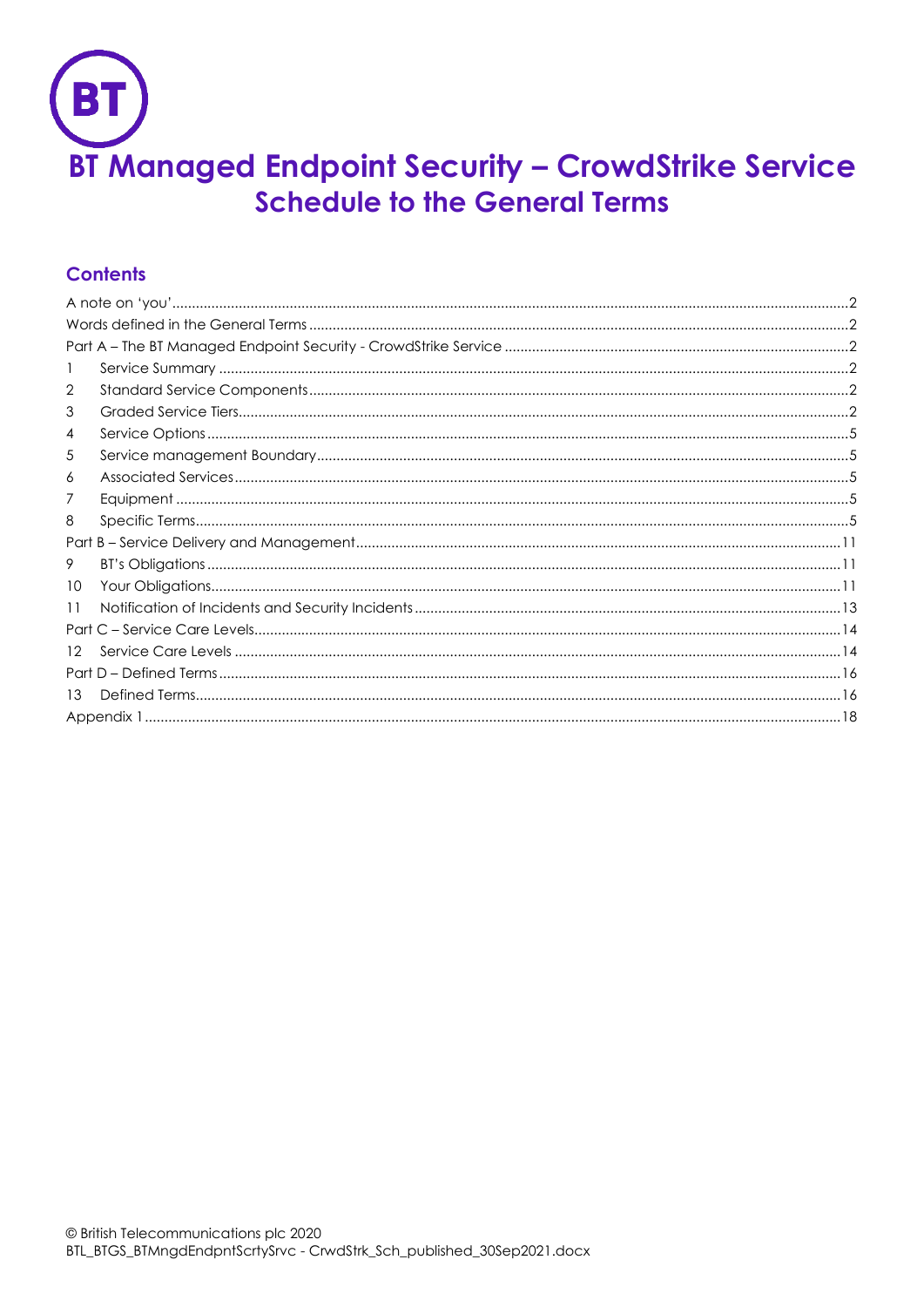

# **Contents**

| 2  |  |  |  |  |  |
|----|--|--|--|--|--|
| 3  |  |  |  |  |  |
| 4  |  |  |  |  |  |
| 5  |  |  |  |  |  |
| 6  |  |  |  |  |  |
| 7  |  |  |  |  |  |
| 8  |  |  |  |  |  |
|    |  |  |  |  |  |
| 9  |  |  |  |  |  |
| 10 |  |  |  |  |  |
| 11 |  |  |  |  |  |
|    |  |  |  |  |  |
| 12 |  |  |  |  |  |
|    |  |  |  |  |  |
| 13 |  |  |  |  |  |
|    |  |  |  |  |  |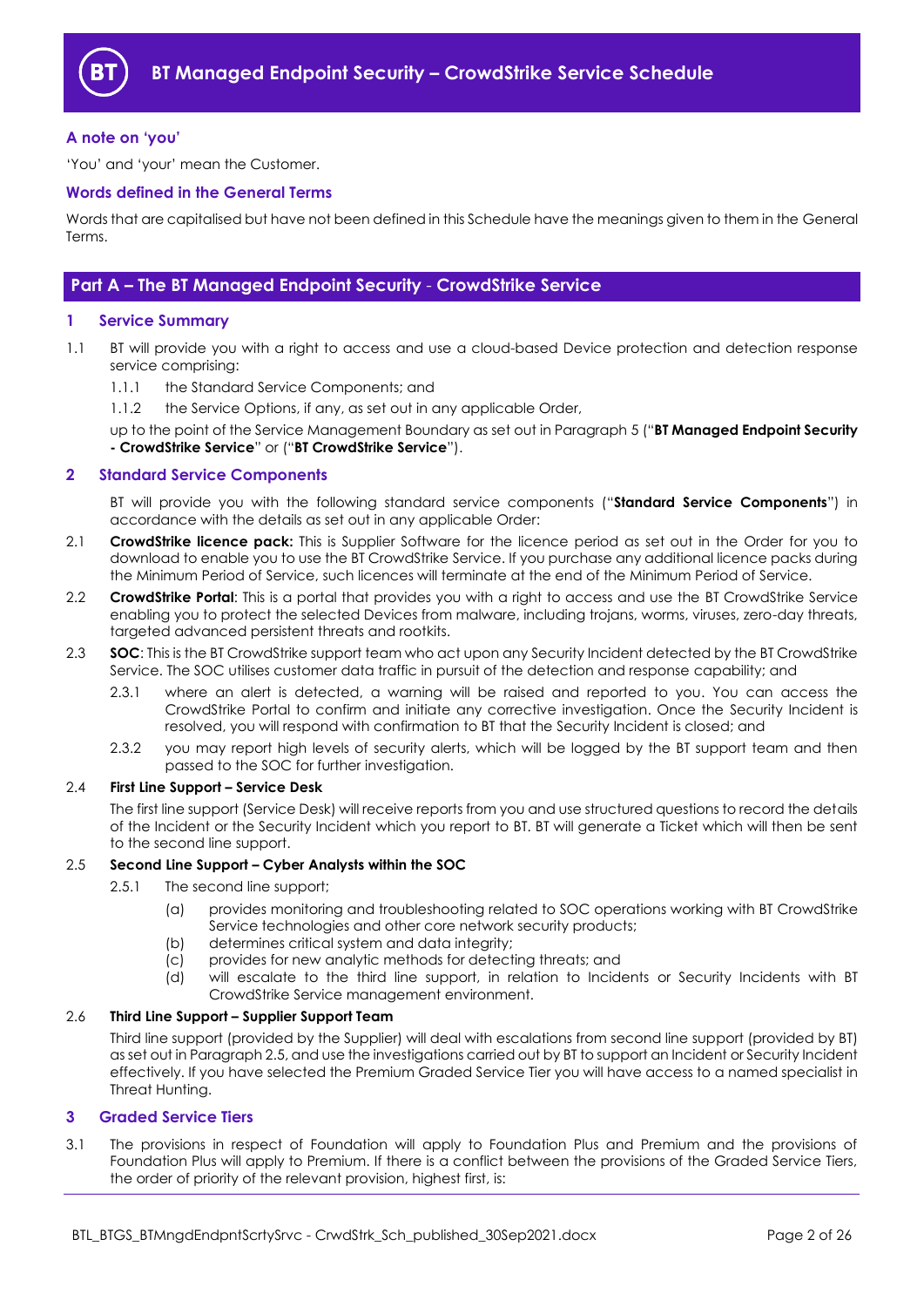

#### <span id="page-1-0"></span>**A note on 'you'**

'You' and 'your' mean the Customer.

#### <span id="page-1-1"></span>**Words defined in the General Terms**

Words that are capitalised but have not been defined in this Schedule have the meanings given to them in the General Terms.

## <span id="page-1-2"></span>**Part A – The BT Managed Endpoint Security** - **CrowdStrike Service**

#### <span id="page-1-3"></span>**1 Service Summary**

- 1.1 BT will provide you with a right to access and use a cloud-based Device protection and detection response service comprising:
	- 1.1.1 the Standard Service Components; and
	- 1.1.2 the Service Options, if any, as set out in any applicable Order,
	- up to the point of the Service Management Boundary as set out in Paragrap[h 5](#page-4-1) ("**BT Managed Endpoint Security - CrowdStrike Service**" or ("**BT CrowdStrike Service**").

#### <span id="page-1-4"></span>**2 Standard Service Components**

BT will provide you with the following standard service components ("**Standard Service Components**") in accordance with the details as set out in any applicable Order:

- <span id="page-1-8"></span>2.1 **CrowdStrike licence pack:** This is Supplier Software for the licence period as set out in the Order for you to download to enable you to use the BT CrowdStrike Service. If you purchase any additional licence packs during the Minimum Period of Service, such licences will terminate at the end of the Minimum Period of Service.
- 2.2 **CrowdStrike Portal**: This is a portal that provides you with a right to access and use the BT CrowdStrike Service enabling you to protect the selected Devices from malware, including trojans, worms, viruses, zero-day threats, targeted advanced persistent threats and rootkits.
- <span id="page-1-7"></span>2.3 **SOC**: This is the BT CrowdStrike support team who act upon any Security Incident detected by the BT CrowdStrike Service. The SOC utilises customer data traffic in pursuit of the detection and response capability; and
	- 2.3.1 where an alert is detected, a warning will be raised and reported to you. You can access the CrowdStrike Portal to confirm and initiate any corrective investigation. Once the Security Incident is resolved, you will respond with confirmation to BT that the Security Incident is closed; and
	- 2.3.2 you may report high levels of security alerts, which will be logged by the BT support team and then passed to the SOC for further investigation.

#### 2.4 **First Line Support – Service Desk**

The first line support (Service Desk) will receive reports from you and use structured questions to record the details of the Incident or the Security Incident which you report to BT. BT will generate a Ticket which will then be sent to the second line support.

#### <span id="page-1-6"></span>2.5 **Second Line Support – Cyber Analysts within the SOC**

- 2.5.1 The second line support;
	- (a) provides monitoring and troubleshooting related to SOC operations working with BT CrowdStrike Service technologies and other core network security products;
	- (b) determines critical system and data integrity;
	- (c) provides for new analytic methods for detecting threats; and
	- (d) will escalate to the third line support, in relation to Incidents or Security Incidents with BT CrowdStrike Service management environment.

### 2.6 **Third Line Support – Supplier Support Team**

Third line support (provided by the Supplier) will deal with escalations from second line support (provided by BT) as set out in Paragrap[h 2.5,](#page-1-6) and use the investigations carried out by BT to support an Incident or Security Incident effectively. If you have selected the Premium Graded Service Tier you will have access to a named specialist in Threat Hunting.

#### <span id="page-1-5"></span>**3 Graded Service Tiers**

3.1 The provisions in respect of Foundation will apply to Foundation Plus and Premium and the provisions of Foundation Plus will apply to Premium. If there is a conflict between the provisions of the Graded Service Tiers, the order of priority of the relevant provision, highest first, is: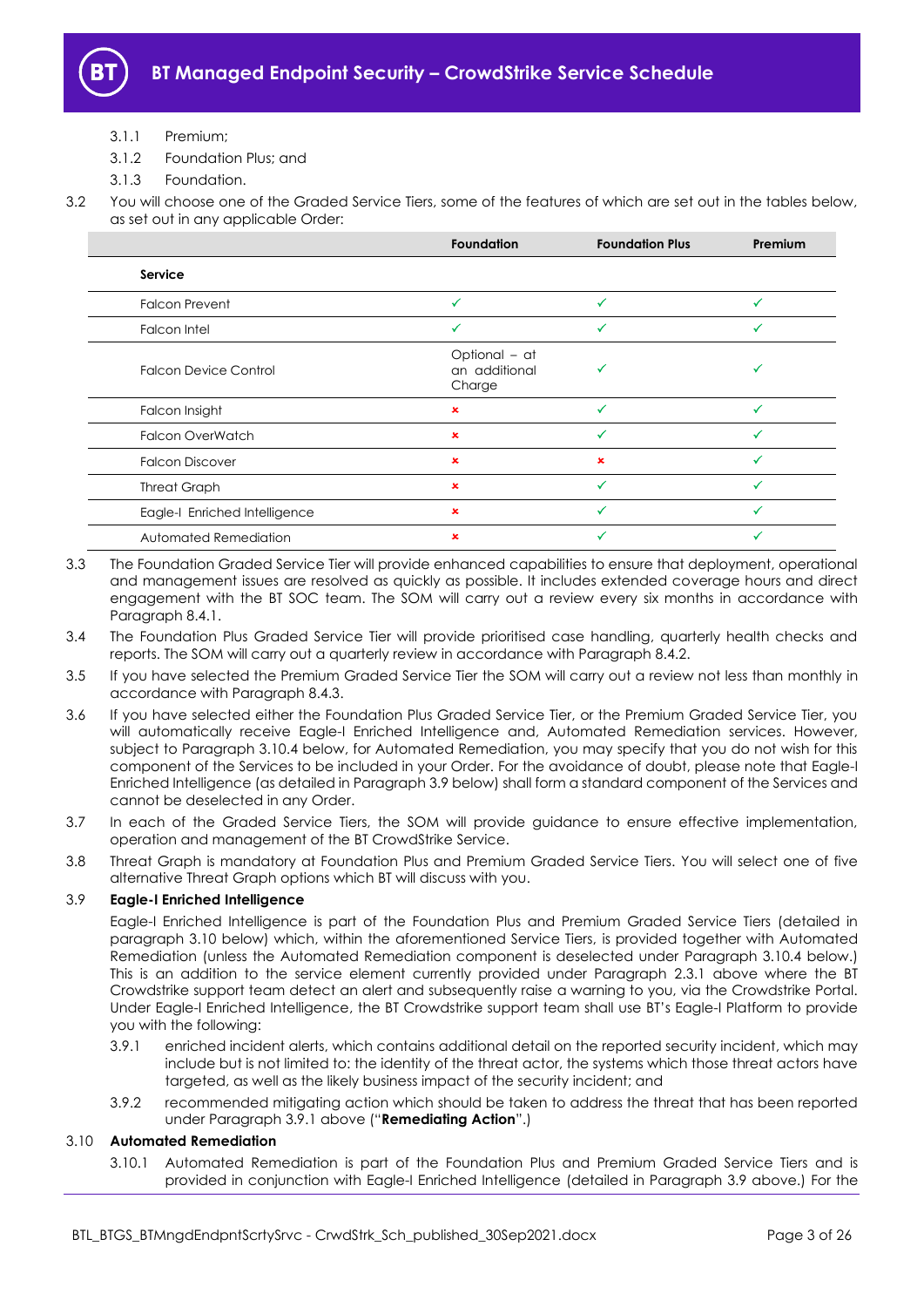

- 3.1.1 Premium;
- 3.1.2 Foundation Plus; and
- 3.1.3 Foundation.
- 3.2 You will choose one of the Graded Service Tiers, some of the features of which are set out in the tables below, as set out in any applicable Order:

|                               | <b>Foundation</b>                        | <b>Foundation Plus</b> | Premium |
|-------------------------------|------------------------------------------|------------------------|---------|
| Service                       |                                          |                        |         |
| <b>Falcon Prevent</b>         | ✓                                        |                        |         |
| Falcon Intel                  |                                          |                        | ✓       |
| <b>Falcon Device Control</b>  | Optional - at<br>an additional<br>Charge |                        |         |
| Falcon Insight                | ×                                        |                        |         |
| <b>Falcon OverWatch</b>       | $\pmb{\times}$                           |                        |         |
| <b>Falcon Discover</b>        | $\pmb{\times}$                           | ×                      |         |
| <b>Threat Graph</b>           | ×                                        |                        |         |
| Eagle-I Enriched Intelligence | ×                                        |                        |         |
| Automated Remediation         | ×                                        |                        |         |

- 3.3 The Foundation Graded Service Tier will provide enhanced capabilities to ensure that deployment, operational and management issues are resolved as quickly as possible. It includes extended coverage hours and direct engagement with the BT SOC team. The SOM will carry out a review every six months in accordance with Paragraph [8.4.1.](#page-5-0)
- 3.4 The Foundation Plus Graded Service Tier will provide prioritised case handling, quarterly health checks and reports. The SOM will carry out a quarterly review in accordance with Paragraph [8.4.2.](#page-6-0)
- 3.5 If you have selected the Premium Graded Service Tier the SOM will carry out a review not less than monthly in accordance with Paragraph [8.4.3.](#page-6-1)
- 3.6 If you have selected either the Foundation Plus Graded Service Tier, or the Premium Graded Service Tier, you will automatically receive Eagle-I Enriched Intelligence and, Automated Remediation services. However, subject to Paragraph [3.10.4](#page-3-0) below, for Automated Remediation, you may specify that you do not wish for this component of the Services to be included in your Order. For the avoidance of doubt, please note that Eagle-I Enriched Intelligence (as detailed in Paragrap[h 3.9](#page-2-0) below) shall form a standard component of the Services and cannot be deselected in any Order.
- 3.7 In each of the Graded Service Tiers, the SOM will provide guidance to ensure effective implementation, operation and management of the BT CrowdStrike Service.
- 3.8 Threat Graph is mandatory at Foundation Plus and Premium Graded Service Tiers. You will select one of five alternative Threat Graph options which BT will discuss with you.

### <span id="page-2-0"></span>3.9 **Eagle-I Enriched Intelligence**

Eagle-I Enriched Intelligence is part of the Foundation Plus and Premium Graded Service Tiers (detailed in paragraph [3.10](#page-2-1) below) which, within the aforementioned Service Tiers, is provided together with Automated Remediation (unless the Automated Remediation component is deselected under Paragraph [3.10.4](#page-3-0) below.) This is an addition to the service element currently provided under Paragraph [2.3.1](#page-1-7) above where the BT Crowdstrike support team detect an alert and subsequently raise a warning to you, via the Crowdstrike Portal. Under Eagle-I Enriched Intelligence, the BT Crowdstrike support team shall use BT's Eagle-I Platform to provide you with the following:

- <span id="page-2-2"></span>3.9.1 enriched incident alerts, which contains additional detail on the reported security incident, which may include but is not limited to: the identity of the threat actor, the systems which those threat actors have targeted, as well as the likely business impact of the security incident; and
- 3.9.2 recommended mitigating action which should be taken to address the threat that has been reported under Paragraph [3.9.1](#page-2-2) above ("**Remediating Action**".)

### <span id="page-2-1"></span>3.10 **Automated Remediation**

3.10.1 Automated Remediation is part of the Foundation Plus and Premium Graded Service Tiers and is provided in conjunction with Eagle-I Enriched Intelligence (detailed in Paragraph [3.9](#page-2-0) above.) For the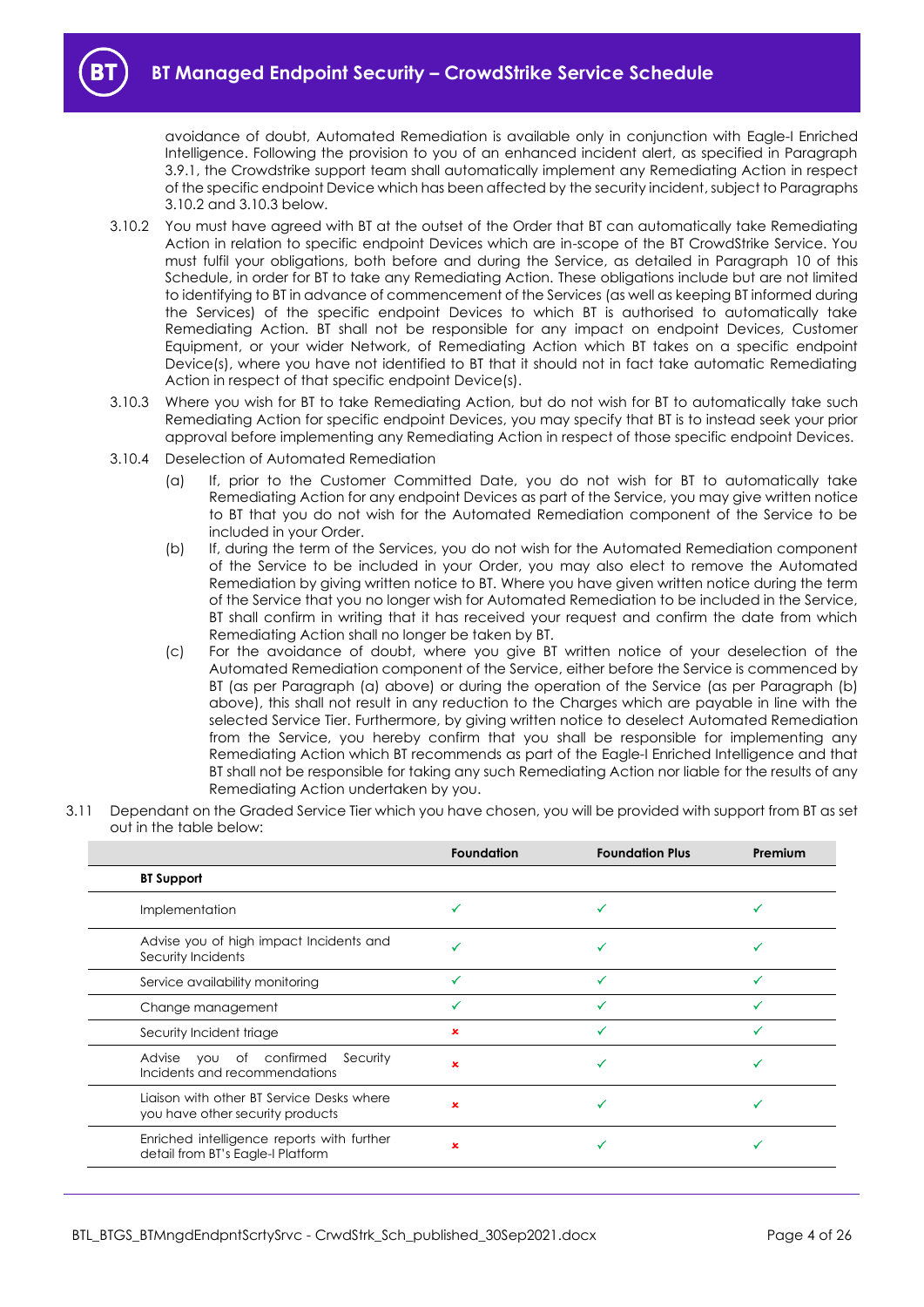avoidance of doubt, Automated Remediation is available only in conjunction with Eagle-I Enriched Intelligence. Following the provision to you of an enhanced incident alert, as specified in Paragraph [3.9.1,](#page-2-2) the Crowdstrike support team shall automatically implement any Remediating Action in respect of the specific endpoint Device which has been affected by the security incident, subject to Paragraphs [3.10.2](#page-3-1) and [3.10.3](#page-3-2) below.

- <span id="page-3-1"></span>3.10.2 You must have agreed with BT at the outset of the Order that BT can automatically take Remediating Action in relation to specific endpoint Devices which are in-scope of the BT CrowdStrike Service. You must fulfil your obligations, both before and during the Service, as detailed in Paragraph [10](#page-10-2) of this Schedule, in order for BT to take any Remediating Action. These obligations include but are not limited to identifying to BT in advance of commencement of the Services (as well as keeping BT informed during the Services) of the specific endpoint Devices to which BT is authorised to automatically take Remediating Action. BT shall not be responsible for any impact on endpoint Devices, Customer Equipment, or your wider Network, of Remediating Action which BT takes on a specific endpoint Device(s), where you have not identified to BT that it should not in fact take automatic Remediating Action in respect of that specific endpoint Device(s).
- <span id="page-3-2"></span>3.10.3 Where you wish for BT to take Remediating Action, but do not wish for BT to automatically take such Remediating Action for specific endpoint Devices, you may specify that BT is to instead seek your prior approval before implementing any Remediating Action in respect of those specific endpoint Devices.
- <span id="page-3-4"></span><span id="page-3-3"></span><span id="page-3-0"></span>3.10.4 Deselection of Automated Remediation
	- (a) If, prior to the Customer Committed Date, you do not wish for BT to automatically take Remediating Action for any endpoint Devices as part of the Service, you may give written notice to BT that you do not wish for the Automated Remediation component of the Service to be included in your Order.
	- (b) If, during the term of the Services, you do not wish for the Automated Remediation component of the Service to be included in your Order, you may also elect to remove the Automated Remediation by giving written notice to BT. Where you have given written notice during the term of the Service that you no longer wish for Automated Remediation to be included in the Service, BT shall confirm in writing that it has received your request and confirm the date from which Remediating Action shall no longer be taken by BT.
	- (c) For the avoidance of doubt, where you give BT written notice of your deselection of the Automated Remediation component of the Service, either before the Service is commenced by BT (as per Paragraph [\(a\)](#page-3-3) above) or during the operation of the Service (as per Paragraph [\(b\)](#page-3-4) above), this shall not result in any reduction to the Charges which are payable in line with the selected Service Tier. Furthermore, by giving written notice to deselect Automated Remediation from the Service, you hereby confirm that you shall be responsible for implementing any Remediating Action which BT recommends as part of the Eagle-I Enriched Intelligence and that BT shall not be responsible for taking any such Remediating Action nor liable for the results of any Remediating Action undertaken by you.
- 3.11 Dependant on the Graded Service Tier which you have chosen, you will be provided with support from BT as set out in the table below:

|                                                                                   | <b>Foundation</b> | <b>Foundation Plus</b> | Premium |
|-----------------------------------------------------------------------------------|-------------------|------------------------|---------|
| <b>BT Support</b>                                                                 |                   |                        |         |
| Implementation                                                                    |                   |                        |         |
| Advise you of high impact Incidents and<br>Security Incidents                     |                   |                        |         |
| Service availability monitoring                                                   |                   | ✓                      |         |
| Change management                                                                 |                   |                        |         |
| Security Incident triage                                                          | ×                 |                        |         |
| of confirmed<br>Security<br>Advise<br><b>YOU</b><br>Incidents and recommendations | x                 |                        |         |
| Ligison with other BT Service Desks where<br>you have other security products     | ×                 |                        |         |
| Enriched intelligence reports with further<br>detail from BT's Eagle-I Platform   | ×                 |                        |         |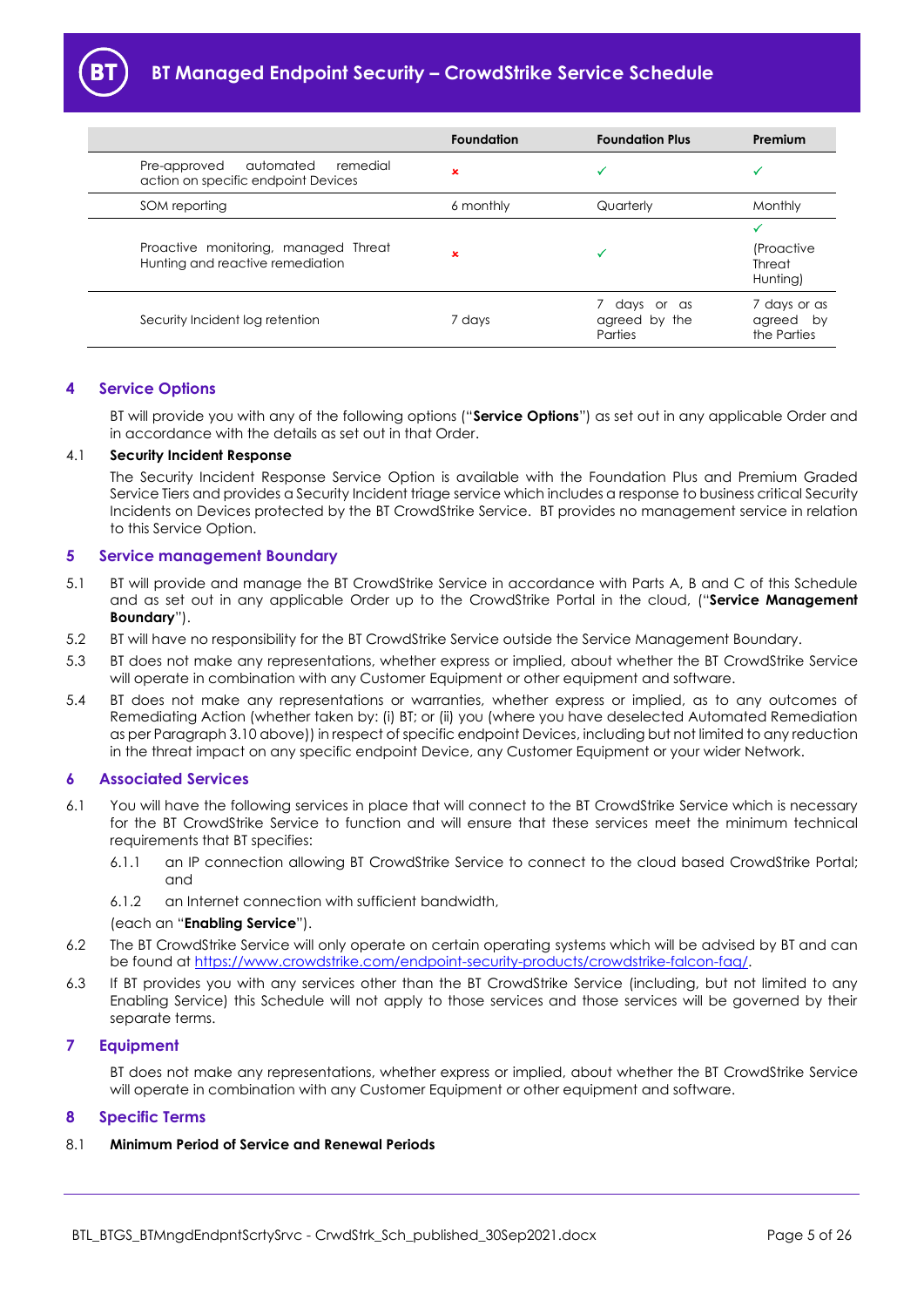|                                                                              | <b>Foundation</b> | <b>Foundation Plus</b>                 | Premium                                            |
|------------------------------------------------------------------------------|-------------------|----------------------------------------|----------------------------------------------------|
| automated<br>remedial<br>Pre-approved<br>action on specific endpoint Devices | $\mathbf x$       |                                        |                                                    |
| SOM reporting                                                                | 6 monthly         | Quarterly                              | Monthly                                            |
| Proactive monitoring, managed Threat<br>Hunting and reactive remediation     | ×                 |                                        | <i>(Proactive)</i><br>Threat<br>Hunting)           |
| Security Incident log retention                                              | 7 days            | days or as<br>agreed by the<br>Parties | 7 days or as<br>agreed<br><b>bv</b><br>the Parties |

### <span id="page-4-0"></span>**4 Service Options**

BT will provide you with any of the following options ("**Service Options**") as set out in any applicable Order and in accordance with the details as set out in that Order.

### 4.1 **Security Incident Response**

The Security Incident Response Service Option is available with the Foundation Plus and Premium Graded Service Tiers and provides a Security Incident triage service which includes a response to business critical Security Incidents on Devices protected by the BT CrowdStrike Service. BT provides no management service in relation to this Service Option.

### <span id="page-4-1"></span>**5 Service management Boundary**

- 5.1 BT will provide and manage the BT CrowdStrike Service in accordance with Parts A, B and C of this Schedule and as set out in any applicable Order up to the CrowdStrike Portal in the cloud, ("**Service Management Boundary**").
- 5.2 BT will have no responsibility for the BT CrowdStrike Service outside the Service Management Boundary.
- 5.3 BT does not make any representations, whether express or implied, about whether the BT CrowdStrike Service will operate in combination with any Customer Equipment or other equipment and software.
- <span id="page-4-5"></span>5.4 BT does not make any representations or warranties, whether express or implied, as to any outcomes of Remediating Action (whether taken by: (i) BT; or (ii) you (where you have deselected Automated Remediation as per Paragrap[h 3.10](#page-2-1) above)) in respect of specific endpoint Devices, including but not limited to any reduction in the threat impact on any specific endpoint Device, any Customer Equipment or your wider Network.

#### <span id="page-4-2"></span>**6 Associated Services**

- <span id="page-4-6"></span>6.1 You will have the following services in place that will connect to the BT CrowdStrike Service which is necessary for the BT CrowdStrike Service to function and will ensure that these services meet the minimum technical requirements that BT specifies:
	- 6.1.1 an IP connection allowing BT CrowdStrike Service to connect to the cloud based CrowdStrike Portal; and
	- 6.1.2 an Internet connection with sufficient bandwidth,

#### (each an "**Enabling Service**").

- 6.2 The BT CrowdStrike Service will only operate on certain operating systems which will be advised by BT and can be found at [https://www.crowdstrike.com/endpoint-security-products/crowdstrike-falcon-faq/.](https://www.crowdstrike.com/endpoint-security-products/crowdstrike-falcon-faq/)
- 6.3 If BT provides you with any services other than the BT CrowdStrike Service (including, but not limited to any Enabling Service) this Schedule will not apply to those services and those services will be governed by their separate terms.

### <span id="page-4-3"></span>**7 Equipment**

BT does not make any representations, whether express or implied, about whether the BT CrowdStrike Service will operate in combination with any Customer Equipment or other equipment and software.

### <span id="page-4-4"></span>**8 Specific Terms**

### 8.1 **Minimum Period of Service and Renewal Periods**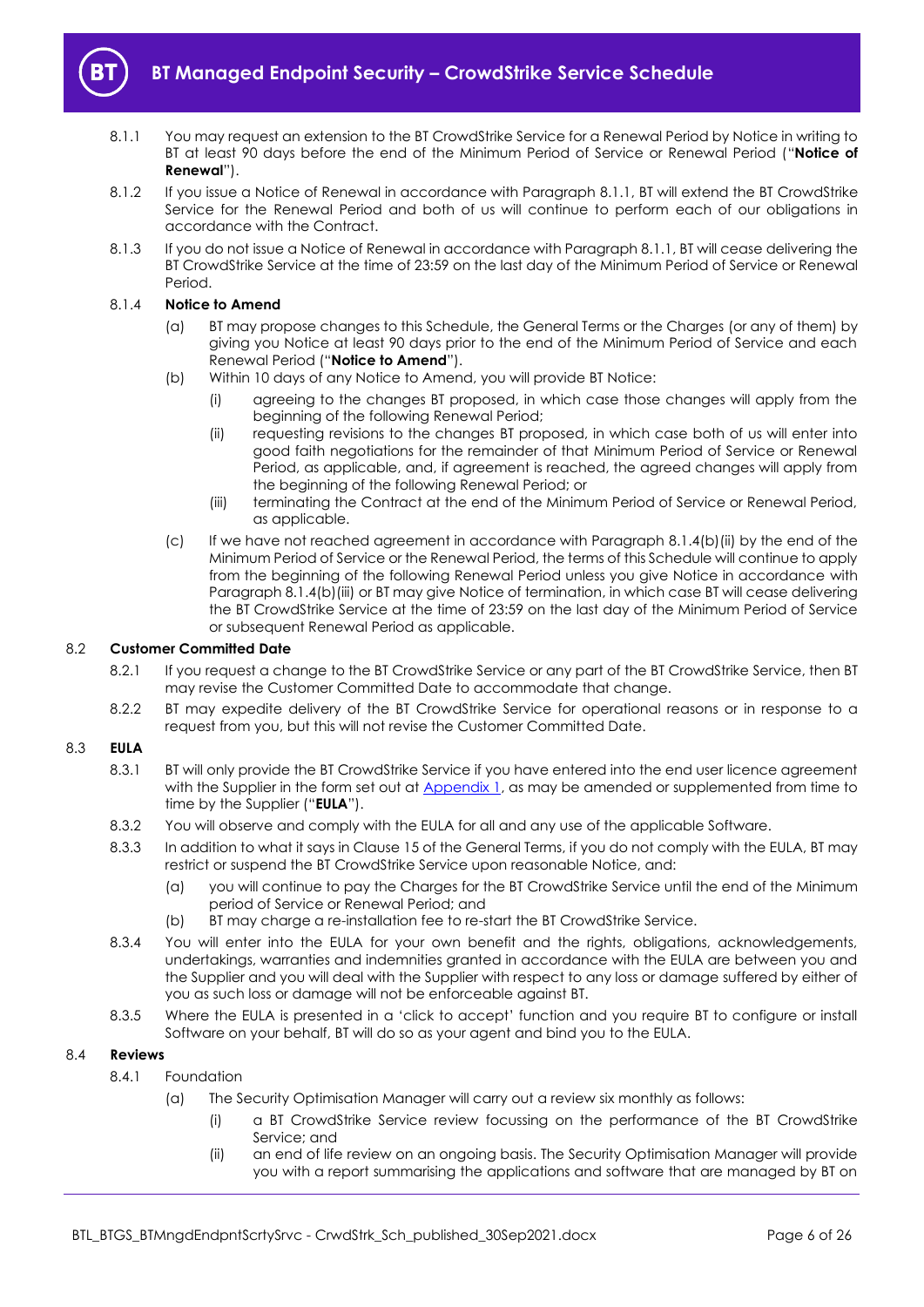

- <span id="page-5-1"></span>8.1.1 You may request an extension to the BT CrowdStrike Service for a Renewal Period by Notice in writing to BT at least 90 days before the end of the Minimum Period of Service or Renewal Period ("**Notice of Renewal**").
- 8.1.2 If you issue a Notice of Renewal in accordance with Paragraph [8.1.1,](#page-5-1) BT will extend the BT CrowdStrike Service for the Renewal Period and both of us will continue to perform each of our obligations in accordance with the Contract.
- 8.1.3 If you do not issue a Notice of Renewal in accordance with Paragrap[h 8.1.1,](#page-5-1) BT will cease delivering the BT CrowdStrike Service at the time of 23:59 on the last day of the Minimum Period of Service or Renewal Period.

#### <span id="page-5-6"></span>8.1.4 **Notice to Amend**

- (a) BT may propose changes to this Schedule, the General Terms or the Charges (or any of them) by giving you Notice at least 90 days prior to the end of the Minimum Period of Service and each Renewal Period ("**Notice to Amend**").
- <span id="page-5-2"></span>(b) Within 10 days of any Notice to Amend, you will provide BT Notice:
	- (i) agreeing to the changes BT proposed, in which case those changes will apply from the beginning of the following Renewal Period;
	- (ii) requesting revisions to the changes BT proposed, in which case both of us will enter into good faith negotiations for the remainder of that Minimum Period of Service or Renewal Period, as applicable, and, if agreement is reached, the agreed changes will apply from the beginning of the following Renewal Period; or
	- (iii) terminating the Contract at the end of the Minimum Period of Service or Renewal Period, as applicable.
- <span id="page-5-3"></span>(c) If we have not reached agreement in accordance with Paragraph [8.1.4\(b\)\(ii\)](#page-5-2) by the end of the Minimum Period of Service or the Renewal Period, the terms of this Schedule will continue to apply from the beginning of the following Renewal Period unless you give Notice in accordance with Paragraph [8.1.4\(b\)\(iii\)](#page-5-3) or BT may give Notice of termination, in which case BT will cease delivering the BT CrowdStrike Service at the time of 23:59 on the last day of the Minimum Period of Service or subsequent Renewal Period as applicable.

#### 8.2 **Customer Committed Date**

- 8.2.1 If you request a change to the BT CrowdStrike Service or any part of the BT CrowdStrike Service, then BT may revise the Customer Committed Date to accommodate that change.
- 8.2.2 BT may expedite delivery of the BT CrowdStrike Service for operational reasons or in response to a request from you, but this will not revise the Customer Committed Date.

### <span id="page-5-5"></span>8.3 **EULA**

- 8.3.1 BT will only provide the BT CrowdStrike Service if you have entered into the end user licence agreement with the Supplier in the form set out at Appendix 1, as may be amended or supplemented from time to time by the Supplier ("**EULA**").
- 8.3.2 You will observe and comply with the EULA for all and any use of the applicable Software.
- 8.3.3 In addition to what it says in Clause 15 of the General Terms, if you do not comply with the EULA, BT may restrict or suspend the BT CrowdStrike Service upon reasonable Notice, and:
	- (a) you will continue to pay the Charges for the BT CrowdStrike Service until the end of the Minimum period of Service or Renewal Period; and
	- (b) BT may charge a re-installation fee to re-start the BT CrowdStrike Service.
- 8.3.4 You will enter into the EULA for your own benefit and the rights, obligations, acknowledgements, undertakings, warranties and indemnities granted in accordance with the EULA are between you and the Supplier and you will deal with the Supplier with respect to any loss or damage suffered by either of you as such loss or damage will not be enforceable against BT.
- 8.3.5 Where the EULA is presented in a 'click to accept' function and you require BT to configure or install Software on your behalf, BT will do so as your agent and bind you to the EULA.

#### <span id="page-5-7"></span><span id="page-5-0"></span>8.4 **Reviews**

- <span id="page-5-4"></span>8.4.1 Foundation
	- (a) The Security Optimisation Manager will carry out a review six monthly as follows:
		- (i) a BT CrowdStrike Service review focussing on the performance of the BT CrowdStrike Service; and
		- (ii) an end of life review on an ongoing basis. The Security Optimisation Manager will provide you with a report summarising the applications and software that are managed by BT on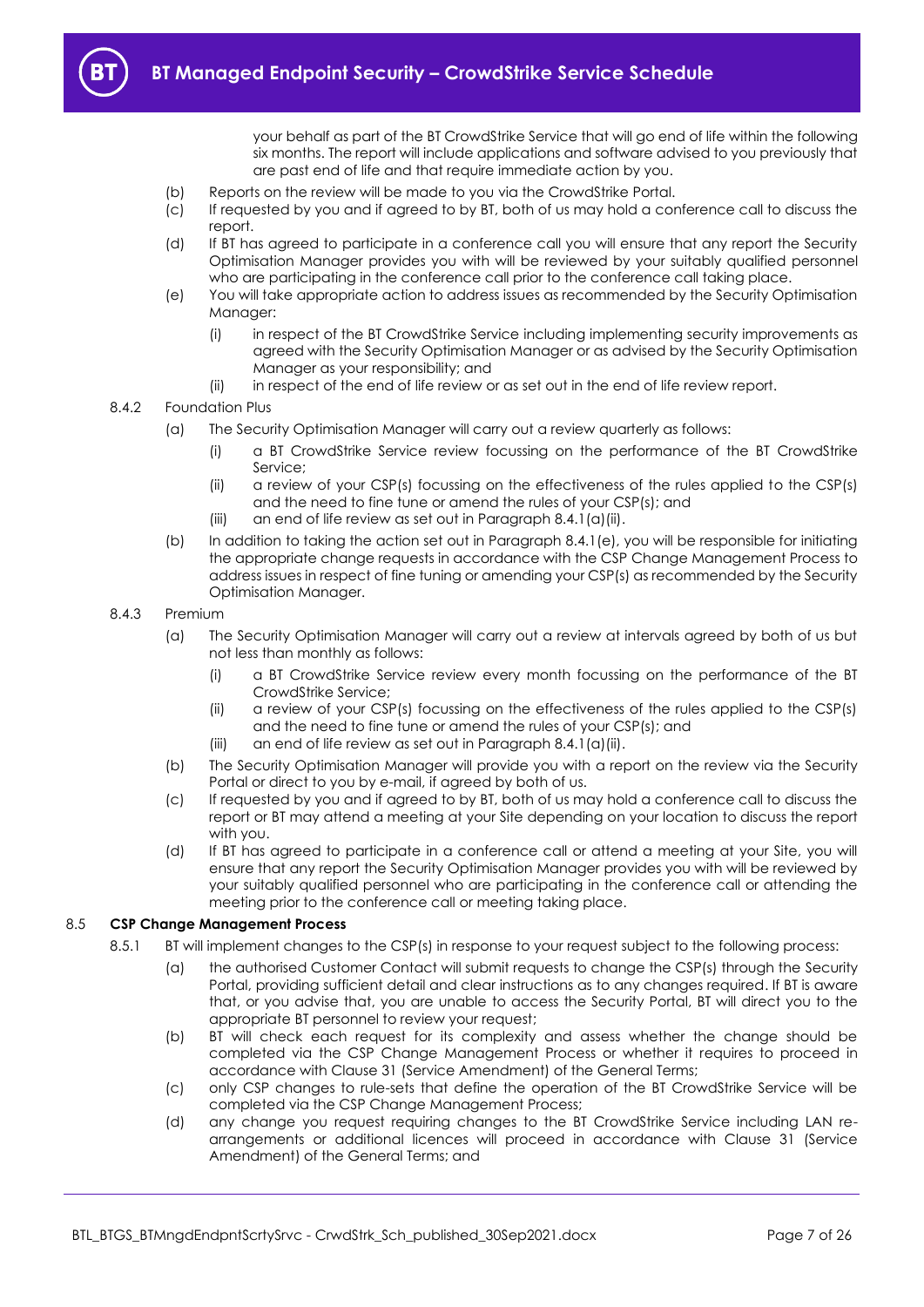your behalf as part of the BT CrowdStrike Service that will go end of life within the following six months. The report will include applications and software advised to you previously that are past end of life and that require immediate action by you.

- (b) Reports on the review will be made to you via the CrowdStrike Portal.
- (c) If requested by you and if agreed to by BT, both of us may hold a conference call to discuss the report.
- (d) If BT has agreed to participate in a conference call you will ensure that any report the Security Optimisation Manager provides you with will be reviewed by your suitably qualified personnel who are participating in the conference call prior to the conference call taking place.
- <span id="page-6-2"></span>(e) You will take appropriate action to address issues as recommended by the Security Optimisation Manager:
	- (i) in respect of the BT CrowdStrike Service including implementing security improvements as agreed with the Security Optimisation Manager or as advised by the Security Optimisation Manager as your responsibility; and
	- (ii) in respect of the end of life review or as set out in the end of life review report.

#### <span id="page-6-0"></span>8.4.2 Foundation Plus

- (a) The Security Optimisation Manager will carry out a review quarterly as follows:
	- (i) a BT CrowdStrike Service review focussing on the performance of the BT CrowdStrike Service;
	- (ii) a review of your CSP(s) focussing on the effectiveness of the rules applied to the CSP(s) and the need to fine tune or amend the rules of your CSP(s); and
	- (iii) an end of life review as set out in Paragraph [8.4.1\(a\)\(ii\).](#page-5-4)
- (b) In addition to taking the action set out in Paragraph [8.4.1\(e\),](#page-6-2) you will be responsible for initiating the appropriate change requests in accordance with the CSP Change Management Process to address issues in respect of fine tuning or amending your CSP(s) as recommended by the Security Optimisation Manager.

#### <span id="page-6-1"></span>8.4.3 Premium

- (a) The Security Optimisation Manager will carry out a review at intervals agreed by both of us but not less than monthly as follows:
	- (i) a BT CrowdStrike Service review every month focussing on the performance of the BT CrowdStrike Service;
	- (ii) a review of your CSP(s) focussing on the effectiveness of the rules applied to the CSP(s) and the need to fine tune or amend the rules of your CSP(s); and
	- $(iii)$  an end of life review as set out in Paragraph [8.4.1\(a\)\(ii\).](#page-5-4)
- (b) The Security Optimisation Manager will provide you with a report on the review via the Security Portal or direct to you by e-mail, if agreed by both of us.
- (c) If requested by you and if agreed to by BT, both of us may hold a conference call to discuss the report or BT may attend a meeting at your Site depending on your location to discuss the report with you.
- (d) If BT has agreed to participate in a conference call or attend a meeting at your Site, you will ensure that any report the Security Optimisation Manager provides you with will be reviewed by your suitably qualified personnel who are participating in the conference call or attending the meeting prior to the conference call or meeting taking place.

#### <span id="page-6-3"></span>8.5 **CSP Change Management Process**

- 8.5.1 BT will implement changes to the CSP(s) in response to your request subject to the following process:
	- (a) the authorised Customer Contact will submit requests to change the CSP(s) through the Security Portal, providing sufficient detail and clear instructions as to any changes required. If BT is aware that, or you advise that, you are unable to access the Security Portal, BT will direct you to the appropriate BT personnel to review your request;
	- (b) BT will check each request for its complexity and assess whether the change should be completed via the CSP Change Management Process or whether it requires to proceed in accordance with Clause 31 (Service Amendment) of the General Terms;
	- (c) only CSP changes to rule-sets that define the operation of the BT CrowdStrike Service will be completed via the CSP Change Management Process;
	- (d) any change you request requiring changes to the BT CrowdStrike Service including LAN rearrangements or additional licences will proceed in accordance with Clause 31 (Service Amendment) of the General Terms; and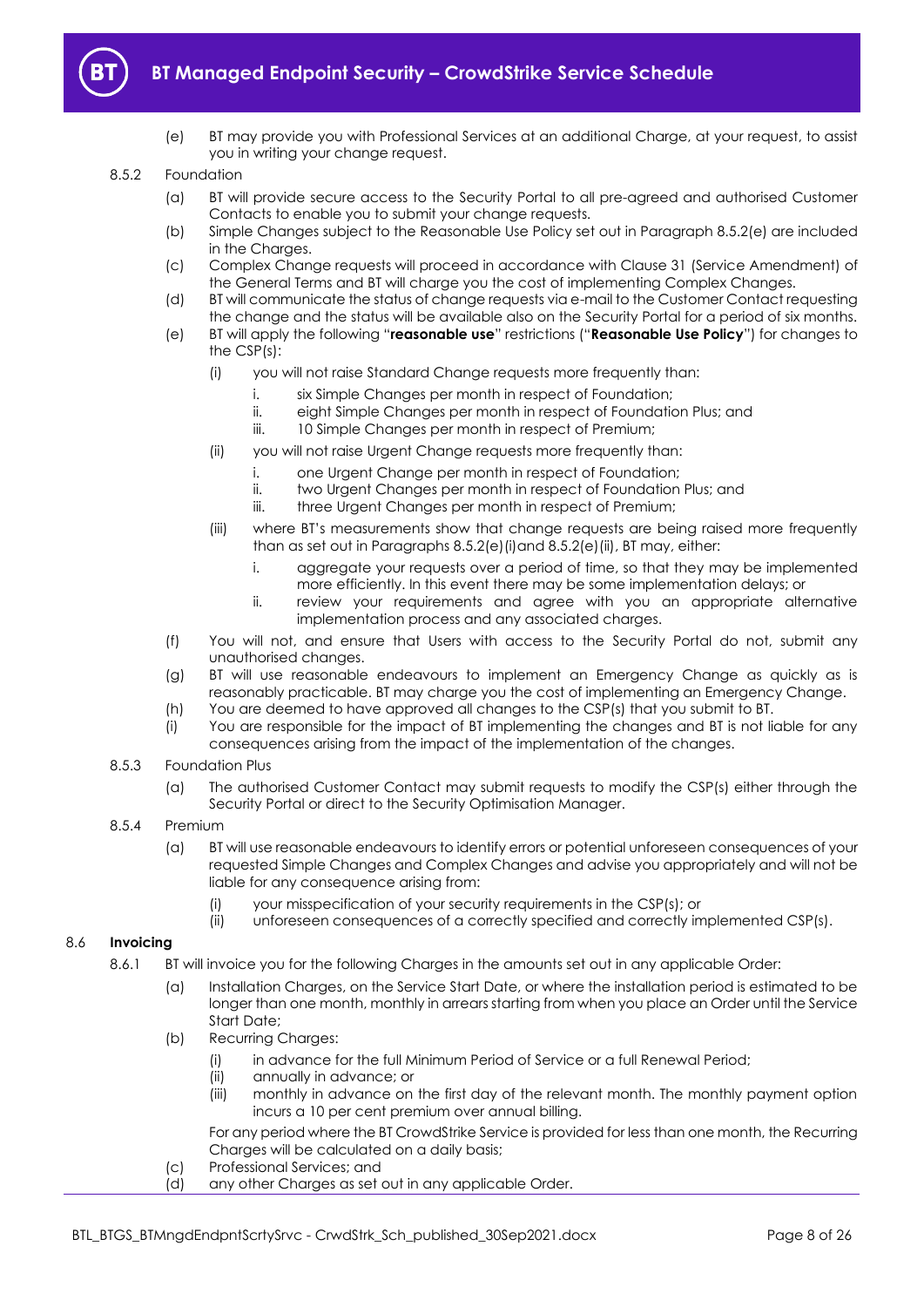

(e) BT may provide you with Professional Services at an additional Charge, at your request, to assist you in writing your change request.

#### 8.5.2 Foundation

- (a) BT will provide secure access to the Security Portal to all pre-agreed and authorised Customer Contacts to enable you to submit your change requests.
- (b) Simple Changes subject to the Reasonable Use Policy set out in Paragraph [8.5.2\(e\)](#page-7-0) are included in the Charaes.
- (c) Complex Change requests will proceed in accordance with Clause 31 (Service Amendment) of the General Terms and BT will charge you the cost of implementing Complex Changes.
- (d) BT will communicate the status of change requests via e-mail to the Customer Contact requesting the change and the status will be available also on the Security Portal for a period of six months.
- <span id="page-7-2"></span><span id="page-7-1"></span><span id="page-7-0"></span>(e) BT will apply the following "**reasonable use**" restrictions ("**Reasonable Use Policy**") for changes to the CSP(s):
	- (i) you will not raise Standard Change requests more frequently than:
		- i. six Simple Changes per month in respect of Foundation;
		- ii. eight Simple Changes per month in respect of Foundation Plus; and
		- iii. 10 Simple Changes per month in respect of Premium;
	- (ii) you will not raise Urgent Change requests more frequently than:
		- i. one Urgent Change per month in respect of Foundation;
		- ii. two Urgent Changes per month in respect of Foundation Plus; and
		- iii. three Urgent Changes per month in respect of Premium;
	- (iii) where BT's measurements show that change requests are being raised more frequently than as set out in Paragraphs [8.5.2\(e\)\(i\)a](#page-7-1)n[d 8.5.2\(e\)\(ii\),](#page-7-2) BT may, either:
		- i. aggregate your requests over a period of time, so that they may be implemented more efficiently. In this event there may be some implementation delays; or
		- ii. review your requirements and agree with you an appropriate alternative implementation process and any associated charges.
- (f) You will not, and ensure that Users with access to the Security Portal do not, submit any unauthorised changes.
- (g) BT will use reasonable endeavours to implement an Emergency Change as quickly as is reasonably practicable. BT may charge you the cost of implementing an Emergency Change.
- (h) You are deemed to have approved all changes to the CSP(s) that you submit to BT.
- (i) You are responsible for the impact of BT implementing the changes and BT is not liable for any consequences arising from the impact of the implementation of the changes.
- 8.5.3 Foundation Plus
	- (a) The authorised Customer Contact may submit requests to modify the CSP(s) either through the Security Portal or direct to the Security Optimisation Manager.
- 8.5.4 Premium
	- (a) BT will use reasonable endeavours to identify errors or potential unforeseen consequences of your requested Simple Changes and Complex Changes and advise you appropriately and will not be liable for any consequence arising from:
		- (i) your misspecification of your security requirements in the CSP(s); or
		- (ii) unforeseen consequences of a correctly specified and correctly implemented CSP(s).

### 8.6 **Invoicing**

- <span id="page-7-4"></span><span id="page-7-3"></span>8.6.1 BT will invoice you for the following Charges in the amounts set out in any applicable Order:
	- (a) Installation Charges, on the Service Start Date, or where the installation period is estimated to be longer than one month, monthly in arrears starting from when you place an Order until the Service Start Date;
	- (b) Recurring Charges:
		- (i) in advance for the full Minimum Period of Service or a full Renewal Period;
		- (ii) annually in advance; or
		- (iii) monthly in advance on the first day of the relevant month. The monthly payment option incurs a 10 per cent premium over annual billing.

For any period where the BT CrowdStrike Service is provided for less than one month, the Recurring Charges will be calculated on a daily basis;

- <span id="page-7-5"></span>(c) Professional Services; and
- (d) any other Charges as set out in any applicable Order.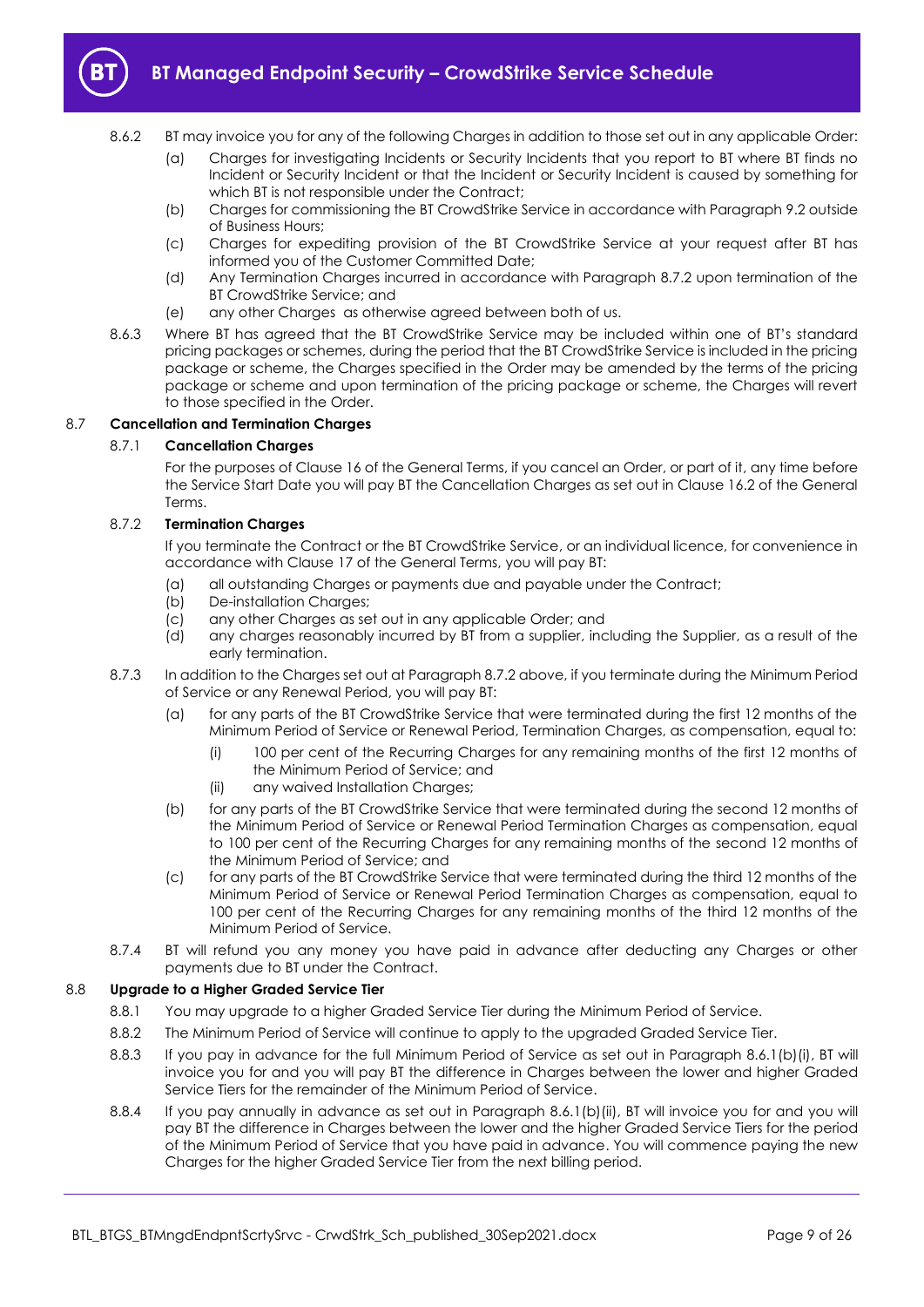

- 8.6.2 BT may invoice you for any of the following Charges in addition to those set out in any applicable Order:
	- (a) Charges for investigating Incidents or Security Incidents that you report to BT where BT finds no Incident or Security Incident or that the Incident or Security Incident is caused by something for which BT is not responsible under the Contract;
	- (b) Charges for commissioning the BT CrowdStrike Service in accordance with Paragrap[h 9.2](#page-10-3) outside of Business Hours;
	- (c) Charges for expediting provision of the BT CrowdStrike Service at your request after BT has informed you of the Customer Committed Date;
	- (d) Any Termination Charges incurred in accordance with Paragraph [8.7.2](#page-8-0) upon termination of the BT CrowdStrike Service; and
	- (e) any other Charges as otherwise agreed between both of us.
- 8.6.3 Where BT has agreed that the BT CrowdStrike Service may be included within one of BT's standard pricing packages or schemes, during the period that the BT CrowdStrike Service is included in the pricing package or scheme, the Charges specified in the Order may be amended by the terms of the pricing package or scheme and upon termination of the pricing package or scheme, the Charges will revert to those specified in the Order.

#### 8.7 **Cancellation and Termination Charges**

### 8.7.1 **Cancellation Charges**

For the purposes of Clause 16 of the General Terms, if you cancel an Order, or part of it, any time before the Service Start Date you will pay BT the Cancellation Charges as set out in Clause 16.2 of the General Terms.

### <span id="page-8-0"></span>8.7.2 **Termination Charges**

If you terminate the Contract or the BT CrowdStrike Service, or an individual licence, for convenience in accordance with Clause 17 of the General Terms, you will pay BT:

- (a) all outstanding Charges or payments due and payable under the Contract;
- (b) De-installation Charges;
- (c) any other Charges as set out in any applicable Order; and
- (d) any charges reasonably incurred by BT from a supplier, including the Supplier, as a result of the early termination.
- 8.7.3 In addition to the Charges set out at Paragrap[h 8.7.2](#page-8-0) above, if you terminate during the Minimum Period of Service or any Renewal Period, you will pay BT:
	- (a) for any parts of the BT CrowdStrike Service that were terminated during the first 12 months of the Minimum Period of Service or Renewal Period, Termination Charges, as compensation, equal to:
		- (i) 100 per cent of the Recurring Charges for any remaining months of the first 12 months of the Minimum Period of Service; and
		- (ii) any waived Installation Charges;
	- (b) for any parts of the BT CrowdStrike Service that were terminated during the second 12 months of the Minimum Period of Service or Renewal Period Termination Charges as compensation, equal to 100 per cent of the Recurring Charges for any remaining months of the second 12 months of the Minimum Period of Service; and
	- (c) for any parts of the BT CrowdStrike Service that were terminated during the third 12 months of the Minimum Period of Service or Renewal Period Termination Charges as compensation, equal to 100 per cent of the Recurring Charges for any remaining months of the third 12 months of the Minimum Period of Service.
- 8.7.4 BT will refund you any money you have paid in advance after deducting any Charges or other payments due to BT under the Contract.

#### 8.8 **Upgrade to a Higher Graded Service Tier**

- 8.8.1 You may upgrade to a higher Graded Service Tier during the Minimum Period of Service.
- 8.8.2 The Minimum Period of Service will continue to apply to the upgraded Graded Service Tier.
- 8.8.3 If you pay in advance for the full Minimum Period of Service as set out in Paragraph [8.6.1\(b\)\(i\),](#page-7-3) BT will invoice you for and you will pay BT the difference in Charges between the lower and higher Graded Service Tiers for the remainder of the Minimum Period of Service.
- 8.8.4 If you pay annually in advance as set out in Paragraph [8.6.1\(b\)\(ii\),](#page-7-4) BT will invoice you for and you will pay BT the difference in Charges between the lower and the higher Graded Service Tiers for the period of the Minimum Period of Service that you have paid in advance. You will commence paying the new Charges for the higher Graded Service Tier from the next billing period.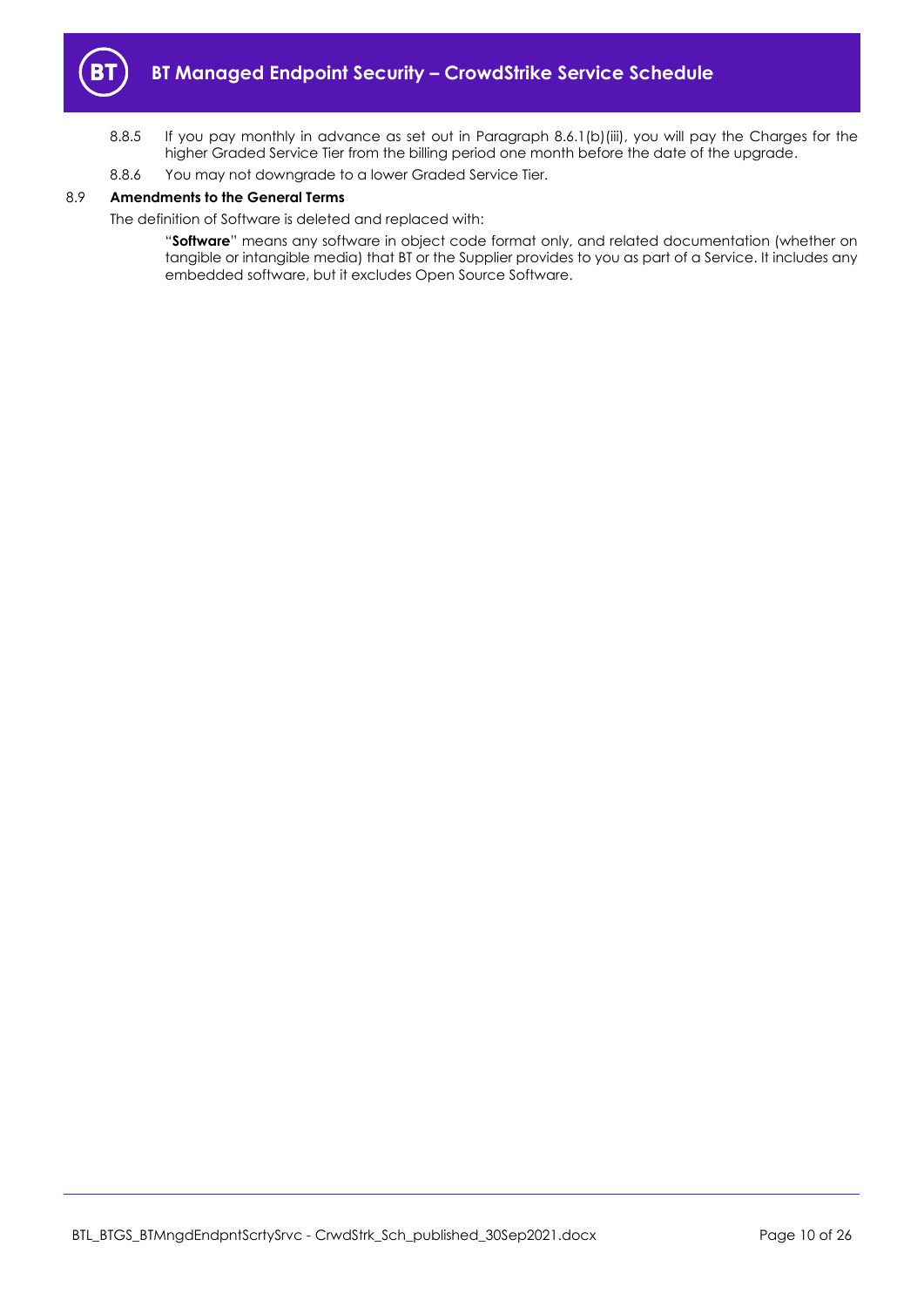

- 8.8.5 If you pay monthly in advance as set out in Paragraph [8.6.1\(b\)\(iii\),](#page-7-5) you will pay the Charges for the higher Graded Service Tier from the billing period one month before the date of the upgrade.
- 8.8.6 You may not downgrade to a lower Graded Service Tier.

### 8.9 **Amendments to the General Terms**

The definition of Software is deleted and replaced with:

"**Software**" means any software in object code format only, and related documentation (whether on tangible or intangible media) that BT or the Supplier provides to you as part of a Service. It includes any embedded software, but it excludes Open Source Software.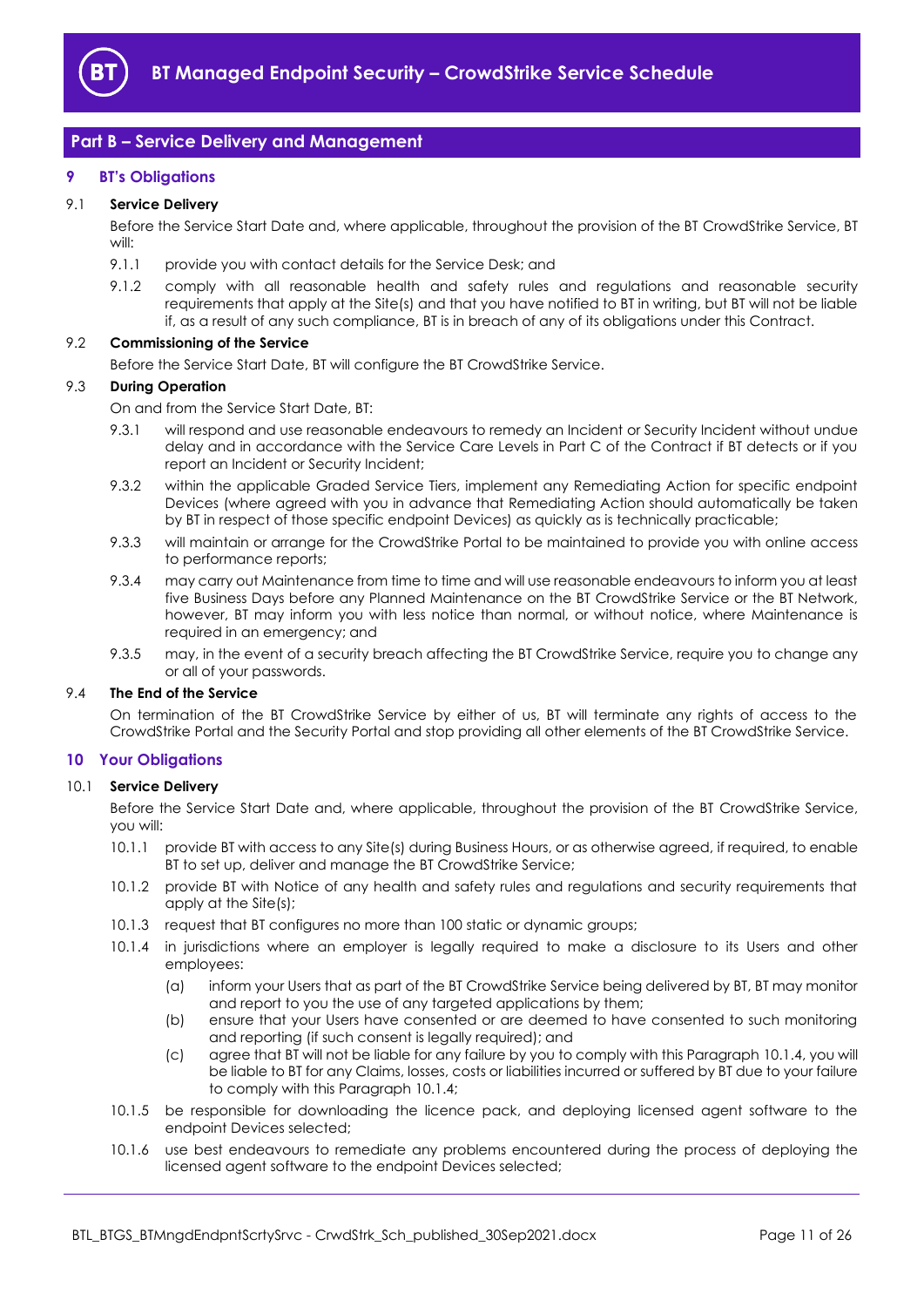

# <span id="page-10-0"></span>**Part B – Service Delivery and Management**

### <span id="page-10-1"></span>**9 BT's Obligations**

#### 9.1 **Service Delivery**

Before the Service Start Date and, where applicable, throughout the provision of the BT CrowdStrike Service, BT will:

- 9.1.1 provide you with contact details for the Service Desk; and
- 9.1.2 comply with all reasonable health and safety rules and regulations and reasonable security requirements that apply at the Site(s) and that you have notified to BT in writing, but BT will not be liable if, as a result of any such compliance, BT is in breach of any of its obligations under this Contract.

#### <span id="page-10-3"></span>9.2 **Commissioning of the Service**

Before the Service Start Date, BT will configure the BT CrowdStrike Service.

#### 9.3 **During Operation**

On and from the Service Start Date, BT:

- 9.3.1 will respond and use reasonable endeavours to remedy an Incident or Security Incident without undue delay and in accordance with the Service Care Levels in Part C of the Contract if BT detects or if you report an Incident or Security Incident;
- 9.3.2 within the applicable Graded Service Tiers, implement any Remediating Action for specific endpoint Devices (where agreed with you in advance that Remediating Action should automatically be taken by BT in respect of those specific endpoint Devices) as quickly as is technically practicable;
- 9.3.3 will maintain or arrange for the CrowdStrike Portal to be maintained to provide you with online access to performance reports;
- 9.3.4 may carry out Maintenance from time to time and will use reasonable endeavours to inform you at least five Business Days before any Planned Maintenance on the BT CrowdStrike Service or the BT Network, however, BT may inform you with less notice than normal, or without notice, where Maintenance is required in an emergency; and
- 9.3.5 may, in the event of a security breach affecting the BT CrowdStrike Service, require you to change any or all of your passwords.

#### 9.4 **The End of the Service**

On termination of the BT CrowdStrike Service by either of us, BT will terminate any rights of access to the CrowdStrike Portal and the Security Portal and stop providing all other elements of the BT CrowdStrike Service.

#### <span id="page-10-2"></span>**10 Your Obligations**

#### 10.1 **Service Delivery**

Before the Service Start Date and, where applicable, throughout the provision of the BT CrowdStrike Service, you will:

- 10.1.1 provide BT with access to any Site(s) during Business Hours, or as otherwise agreed, if required, to enable BT to set up, deliver and manage the BT CrowdStrike Service;
- 10.1.2 provide BT with Notice of any health and safety rules and regulations and security requirements that apply at the Site(s);
- 10.1.3 request that BT configures no more than 100 static or dynamic groups;
- <span id="page-10-4"></span>10.1.4 in jurisdictions where an employer is legally required to make a disclosure to its Users and other employees:
	- (a) inform your Users that as part of the BT CrowdStrike Service being delivered by BT, BT may monitor and report to you the use of any targeted applications by them;
	- (b) ensure that your Users have consented or are deemed to have consented to such monitoring and reporting (if such consent is legally required); and
	- (c) agree that BT will not be liable for any failure by you to comply with this Paragrap[h 10.1.4,](#page-10-4) you will be liable to BT for any Claims, losses, costs or liabilities incurred or suffered by BT due to your failure to comply with this Paragrap[h 10.1.4;](#page-10-4)
- 10.1.5 be responsible for downloading the licence pack, and deploying licensed agent software to the endpoint Devices selected;
- 10.1.6 use best endeavours to remediate any problems encountered during the process of deploying the licensed agent software to the endpoint Devices selected;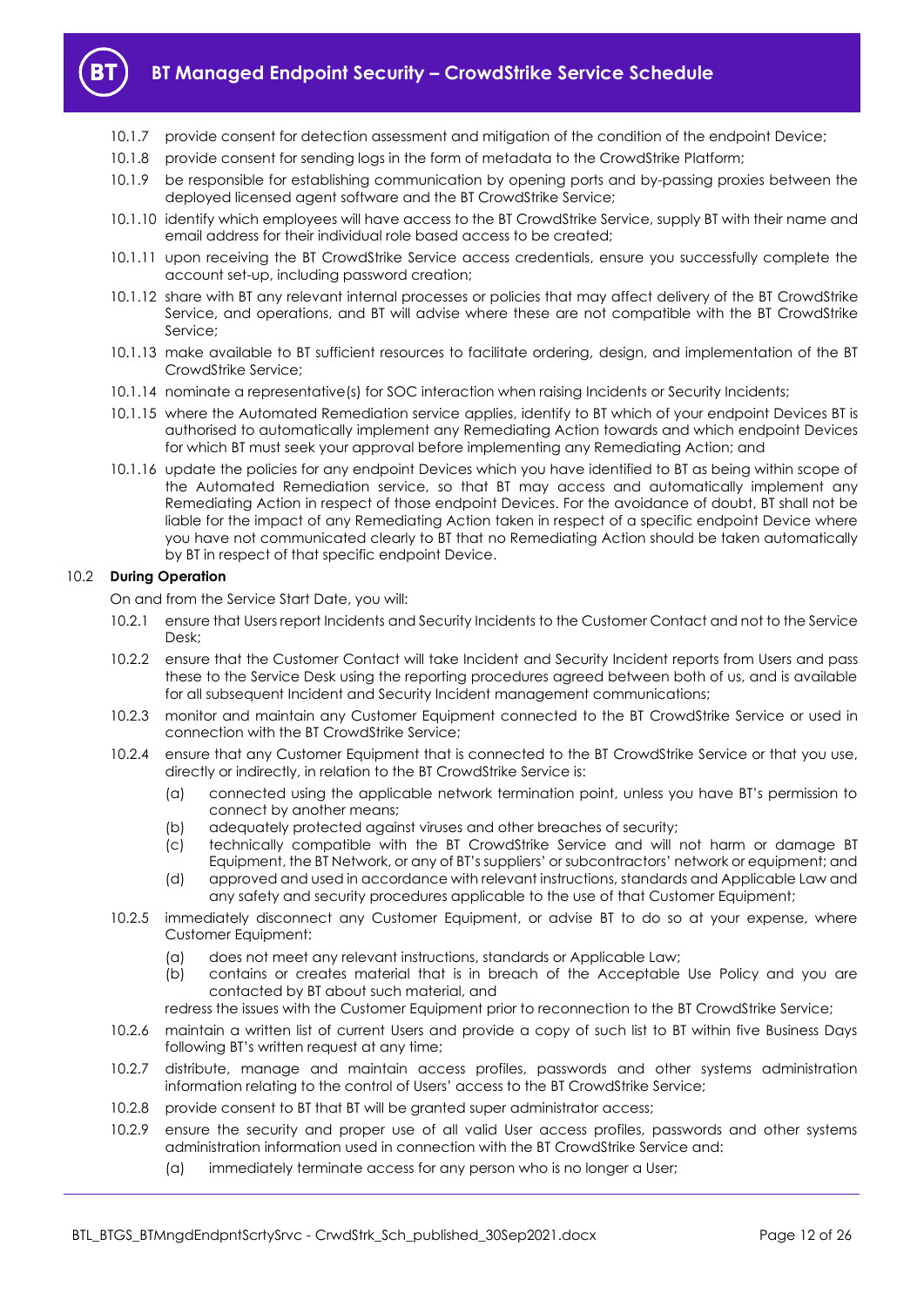

- 10.1.7 provide consent for detection assessment and mitigation of the condition of the endpoint Device;
- 10.1.8 provide consent for sending logs in the form of metadata to the CrowdStrike Platform;
- 10.1.9 be responsible for establishing communication by opening ports and by-passing proxies between the deployed licensed agent software and the BT CrowdStrike Service;
- 10.1.10 identify which employees will have access to the BT CrowdStrike Service, supply BT with their name and email address for their individual role based access to be created;
- 10.1.11 upon receiving the BT CrowdStrike Service access credentials, ensure you successfully complete the account set-up, including password creation;
- 10.1.12 share with BT any relevant internal processes or policies that may affect delivery of the BT CrowdStrike Service, and operations, and BT will advise where these are not compatible with the BT CrowdStrike Service;
- 10.1.13 make available to BT sufficient resources to facilitate ordering, design, and implementation of the BT CrowdStrike Service;
- 10.1.14 nominate a representative(s) for SOC interaction when raising Incidents or Security Incidents;
- 10.1.15 where the Automated Remediation service applies, identify to BT which of your endpoint Devices BT is authorised to automatically implement any Remediating Action towards and which endpoint Devices for which BT must seek your approval before implementing any Remediating Action; and
- 10.1.16 update the policies for any endpoint Devices which you have identified to BT as being within scope of the Automated Remediation service, so that BT may access and automatically implement any Remediating Action in respect of those endpoint Devices. For the avoidance of doubt, BT shall not be liable for the impact of any Remediating Action taken in respect of a specific endpoint Device where you have not communicated clearly to BT that no Remediating Action should be taken automatically by BT in respect of that specific endpoint Device.

#### 10.2 **During Operation**

On and from the Service Start Date, you will:

- 10.2.1 ensure that Users report Incidents and Security Incidents to the Customer Contact and not to the Service Desk;
- 10.2.2 ensure that the Customer Contact will take Incident and Security Incident reports from Users and pass these to the Service Desk using the reporting procedures agreed between both of us, and is available for all subsequent Incident and Security Incident management communications;
- 10.2.3 monitor and maintain any Customer Equipment connected to the BT CrowdStrike Service or used in connection with the BT CrowdStrike Service;
- 10.2.4 ensure that any Customer Equipment that is connected to the BT CrowdStrike Service or that you use, directly or indirectly, in relation to the BT CrowdStrike Service is:
	- (a) connected using the applicable network termination point, unless you have BT's permission to connect by another means;
	- (b) adequately protected against viruses and other breaches of security;
	- (c) technically compatible with the BT CrowdStrike Service and will not harm or damage BT Equipment, the BT Network, or any of BT's suppliers' or subcontractors' network or equipment; and
	- (d) approved and used in accordance with relevant instructions, standards and Applicable Law and any safety and security procedures applicable to the use of that Customer Equipment;
- 10.2.5 immediately disconnect any Customer Equipment, or advise BT to do so at your expense, where Customer Equipment:
	- (a) does not meet any relevant instructions, standards or Applicable Law;
	- (b) contains or creates material that is in breach of the Acceptable Use Policy and you are contacted by BT about such material, and
	- redress the issues with the Customer Equipment prior to reconnection to the BT CrowdStrike Service;
- 10.2.6 maintain a written list of current Users and provide a copy of such list to BT within five Business Days following BT's written request at any time;
- 10.2.7 distribute, manage and maintain access profiles, passwords and other systems administration information relating to the control of Users' access to the BT CrowdStrike Service;
- 10.2.8 provide consent to BT that BT will be granted super administrator access;
- 10.2.9 ensure the security and proper use of all valid User access profiles, passwords and other systems administration information used in connection with the BT CrowdStrike Service and:
	- (a) immediately terminate access for any person who is no longer a User;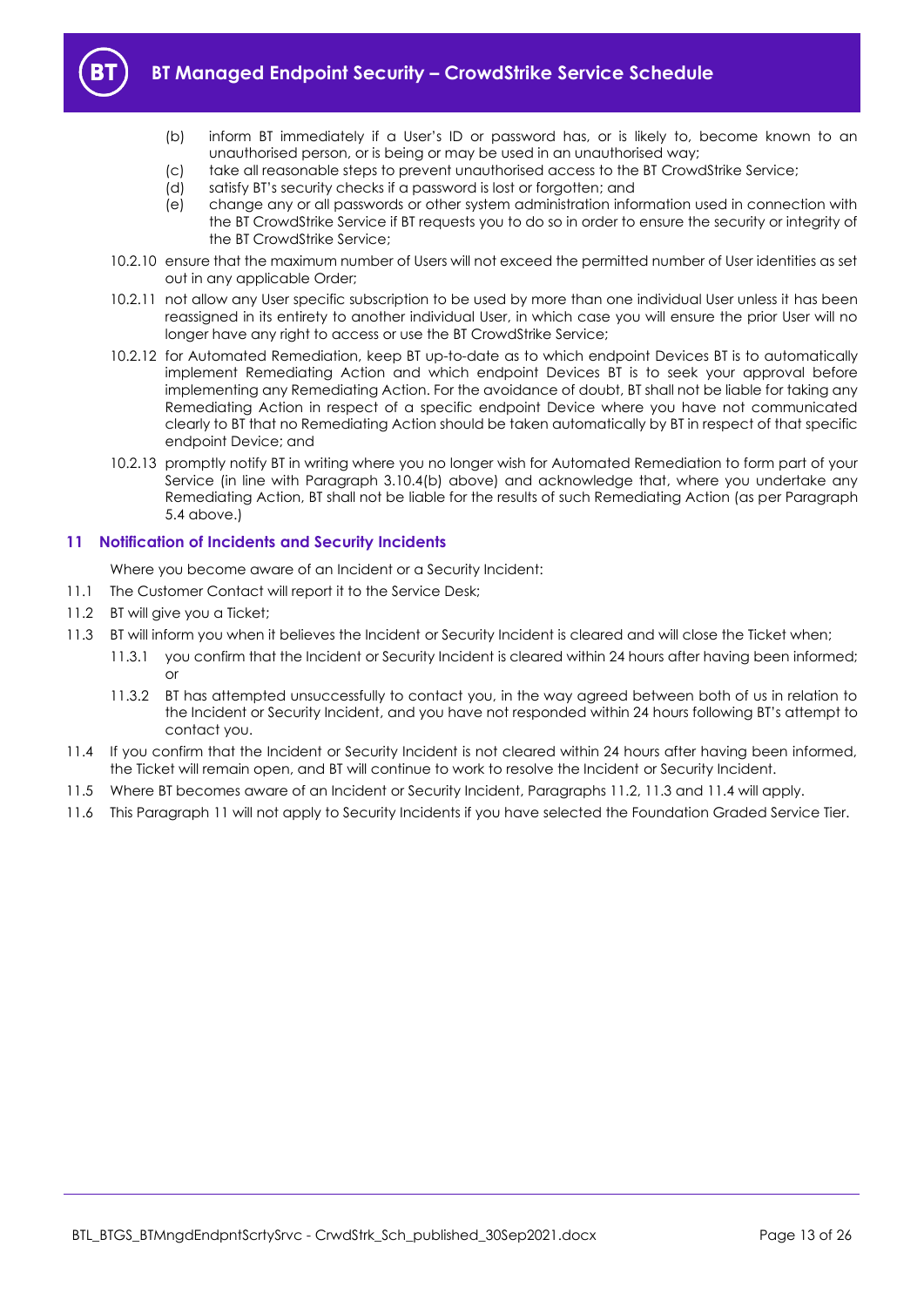

- (b) inform BT immediately if a User's ID or password has, or is likely to, become known to an unauthorised person, or is being or may be used in an unauthorised way;
- (c) take all reasonable steps to prevent unauthorised access to the BT CrowdStrike Service;
- (d) satisfy BT's security checks if a password is lost or forgotten; and
- (e) change any or all passwords or other system administration information used in connection with the BT CrowdStrike Service if BT requests you to do so in order to ensure the security or integrity of the BT CrowdStrike Service;
- 10.2.10 ensure that the maximum number of Users will not exceed the permitted number of User identities as set out in any applicable Order;
- 10.2.11 not allow any User specific subscription to be used by more than one individual User unless it has been reassigned in its entirety to another individual User, in which case you will ensure the prior User will no longer have any right to access or use the BT CrowdStrike Service;
- 10.2.12 for Automated Remediation, keep BT up-to-date as to which endpoint Devices BT is to automatically implement Remediating Action and which endpoint Devices BT is to seek your approval before implementing any Remediating Action. For the avoidance of doubt, BT shall not be liable for taking any Remediating Action in respect of a specific endpoint Device where you have not communicated clearly to BT that no Remediating Action should be taken automatically by BT in respect of that specific endpoint Device; and
- 10.2.13 promptly notify BT in writing where you no longer wish for Automated Remediation to form part of your Service (in line with Paragraph [3.10.4\(b\)](#page-3-4) above) and acknowledge that, where you undertake any Remediating Action, BT shall not be liable for the results of such Remediating Action (as per Paragraph [5.4](#page-4-5) above.)

### <span id="page-12-0"></span>**11 Notification of Incidents and Security Incidents**

- Where you become aware of an Incident or a Security Incident:
- 11.1 The Customer Contact will report it to the Service Desk;
- <span id="page-12-1"></span>11.2 BT will give you a Ticket;
- <span id="page-12-2"></span>11.3 BT will inform you when it believes the Incident or Security Incident is cleared and will close the Ticket when;
	- 11.3.1 you confirm that the Incident or Security Incident is cleared within 24 hours after having been informed; or
	- 11.3.2 BT has attempted unsuccessfully to contact you, in the way agreed between both of us in relation to the Incident or Security Incident, and you have not responded within 24 hours following BT's attempt to contact you.
- <span id="page-12-3"></span>11.4 If you confirm that the Incident or Security Incident is not cleared within 24 hours after having been informed, the Ticket will remain open, and BT will continue to work to resolve the Incident or Security Incident.
- 11.5 Where BT becomes aware of an Incident or Security Incident, Paragraphs [11.2,](#page-12-1) [11.3](#page-12-2) an[d 11.4](#page-12-3) will apply.
- 11.6 This Paragraph [11](#page-12-0) will not apply to Security Incidents if you have selected the Foundation Graded Service Tier.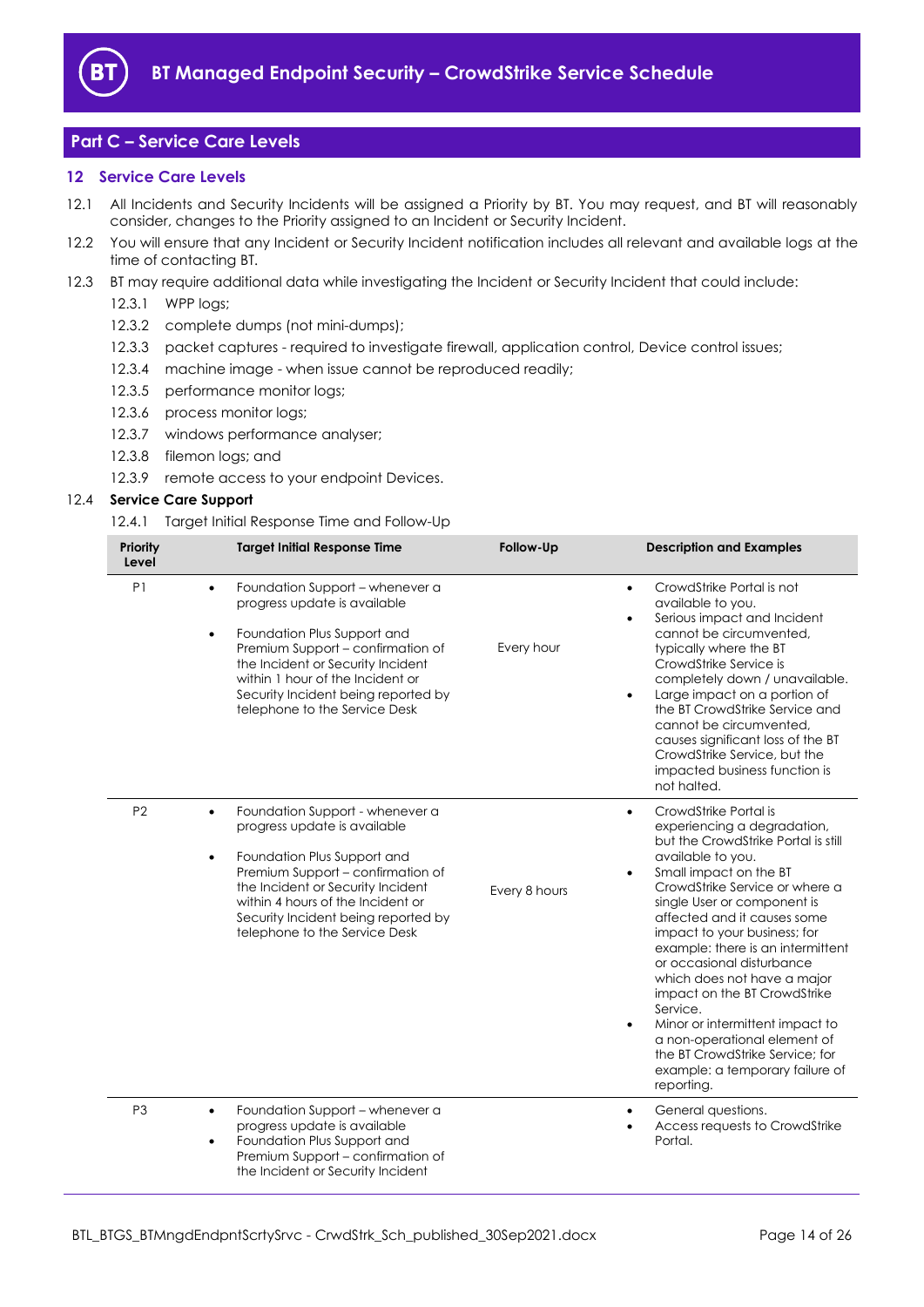

# <span id="page-13-0"></span>**Part C – Service Care Levels**

#### <span id="page-13-1"></span>**12 Service Care Levels**

- 12.1 All Incidents and Security Incidents will be assigned a Priority by BT. You may request, and BT will reasonably consider, changes to the Priority assigned to an Incident or Security Incident.
- 12.2 You will ensure that any Incident or Security Incident notification includes all relevant and available logs at the time of contacting BT.
- 12.3 BT may require additional data while investigating the Incident or Security Incident that could include:
	- 12.3.1 WPP logs;
	- 12.3.2 complete dumps (not mini-dumps);
	- 12.3.3 packet captures required to investigate firewall, application control, Device control issues;
	- 12.3.4 machine image when issue cannot be reproduced readily;
	- 12.3.5 performance monitor logs;
	- 12.3.6 process monitor logs;
	- 12.3.7 windows performance analyser;
	- 12.3.8 filemon logs; and
	- 12.3.9 remote access to your endpoint Devices.

#### <span id="page-13-2"></span>12.4 **Service Care Support**

12.4.1 Target Initial Response Time and Follow-Up

| Priority<br>Level |                        | <b>Target Initial Response Time</b>                                                                                                                                                                                                                                                   | Follow-Up     | <b>Description and Examples</b>                                                                                                                                                                                                                                                                                                                                                                                                                                                                                                                                                                               |
|-------------------|------------------------|---------------------------------------------------------------------------------------------------------------------------------------------------------------------------------------------------------------------------------------------------------------------------------------|---------------|---------------------------------------------------------------------------------------------------------------------------------------------------------------------------------------------------------------------------------------------------------------------------------------------------------------------------------------------------------------------------------------------------------------------------------------------------------------------------------------------------------------------------------------------------------------------------------------------------------------|
| P <sub>1</sub>    | $\bullet$<br>$\bullet$ | Foundation Support - whenever a<br>progress update is available<br>Foundation Plus Support and<br>Premium Support - confirmation of<br>the Incident or Security Incident<br>within 1 hour of the Incident or<br>Security Incident being reported by<br>telephone to the Service Desk  | Every hour    | CrowdStrike Portal is not<br>$\bullet$<br>available to you.<br>Serious impact and Incident<br>$\bullet$<br>cannot be circumvented.<br>typically where the BT<br>CrowdStrike Service is<br>completely down / unavailable.<br>Large impact on a portion of<br>$\bullet$<br>the BT CrowdStrike Service and<br>cannot be circumvented.<br>causes significant loss of the BT<br>CrowdStrike Service, but the<br>impacted business function is<br>not halted.                                                                                                                                                       |
| P <sub>2</sub>    | $\bullet$<br>$\bullet$ | Foundation Support - whenever a<br>progress update is available<br>Foundation Plus Support and<br>Premium Support - confirmation of<br>the Incident or Security Incident<br>within 4 hours of the Incident or<br>Security Incident being reported by<br>telephone to the Service Desk | Every 8 hours | CrowdStrike Portal is<br>$\bullet$<br>experiencing a degradation,<br>but the CrowdStrike Portal is still<br>available to you.<br>Small impact on the BT<br>$\bullet$<br>CrowdStrike Service or where a<br>single User or component is<br>affected and it causes some<br>impact to your business; for<br>example: there is an intermittent<br>or occasional disturbance<br>which does not have a major<br>impact on the BT CrowdStrike<br>Service.<br>Minor or intermittent impact to<br>٠<br>a non-operational element of<br>the BT CrowdStrike Service; for<br>example: a temporary failure of<br>reporting. |
| P <sub>3</sub>    | $\bullet$<br>٠         | Foundation Support - whenever a<br>progress update is available<br>Foundation Plus Support and<br>Premium Support - confirmation of<br>the Incident or Security Incident                                                                                                              |               | General questions.<br>٠<br>Access requests to CrowdStrike<br>Portal.                                                                                                                                                                                                                                                                                                                                                                                                                                                                                                                                          |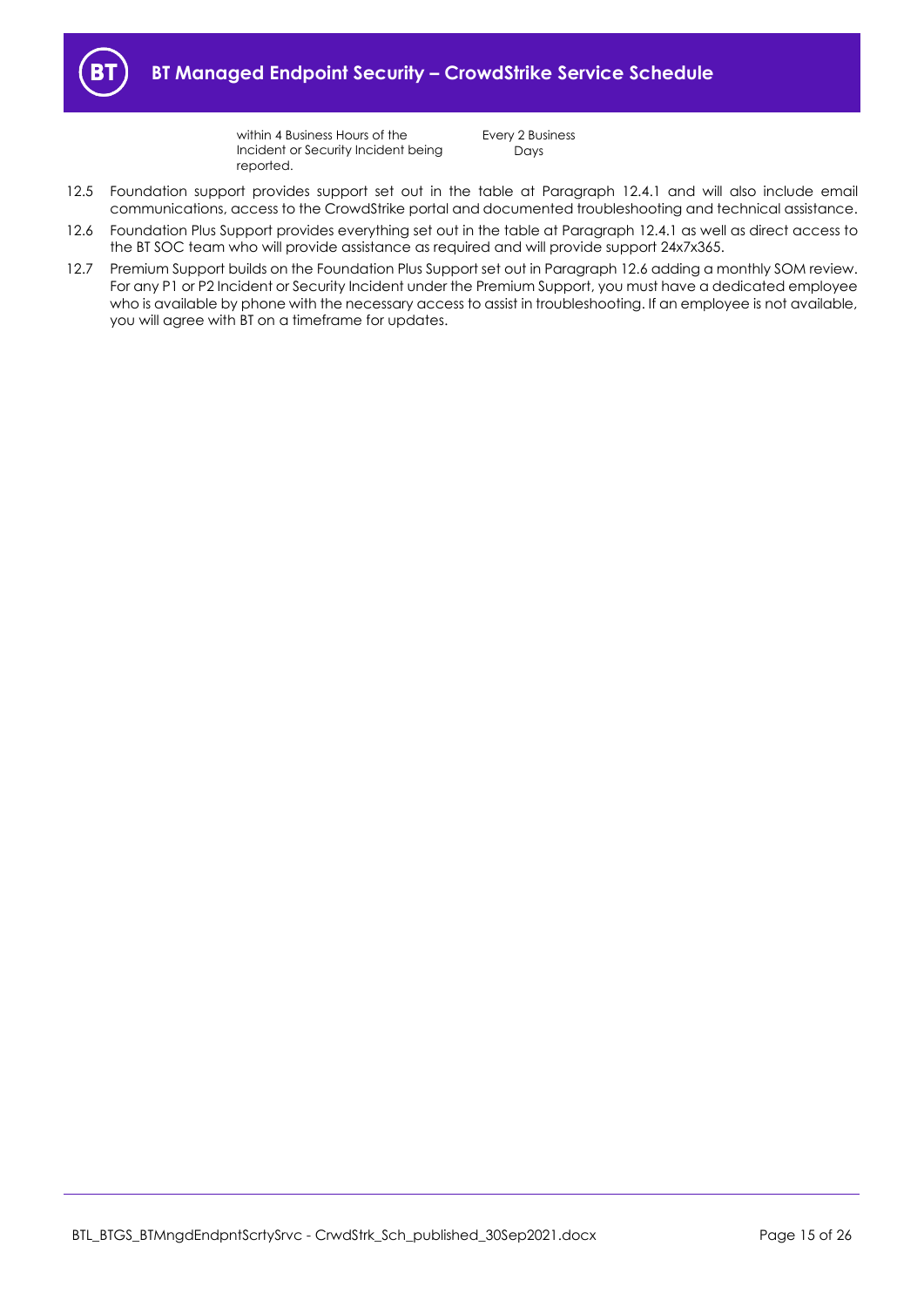

within 4 Business Hours of the Incident or Security Incident being reported.

Every 2 Business Days

- 12.5 Foundation support provides support set out in the table at Paragraph [12.4.1](#page-13-2) and will also include email communications, access to the CrowdStrike portal and documented troubleshooting and technical assistance.
- <span id="page-14-0"></span>12.6 Foundation Plus Support provides everything set out in the table at Paragrap[h 12.4.1](#page-13-2) as well as direct access to the BT SOC team who will provide assistance as required and will provide support 24x7x365.
- 12.7 Premium Support builds on the Foundation Plus Support set out in Paragraph [12.6](#page-14-0) adding a monthly SOM review. For any P1 or P2 Incident or Security Incident under the Premium Support, you must have a dedicated employee who is available by phone with the necessary access to assist in troubleshooting. If an employee is not available, you will agree with BT on a timeframe for updates.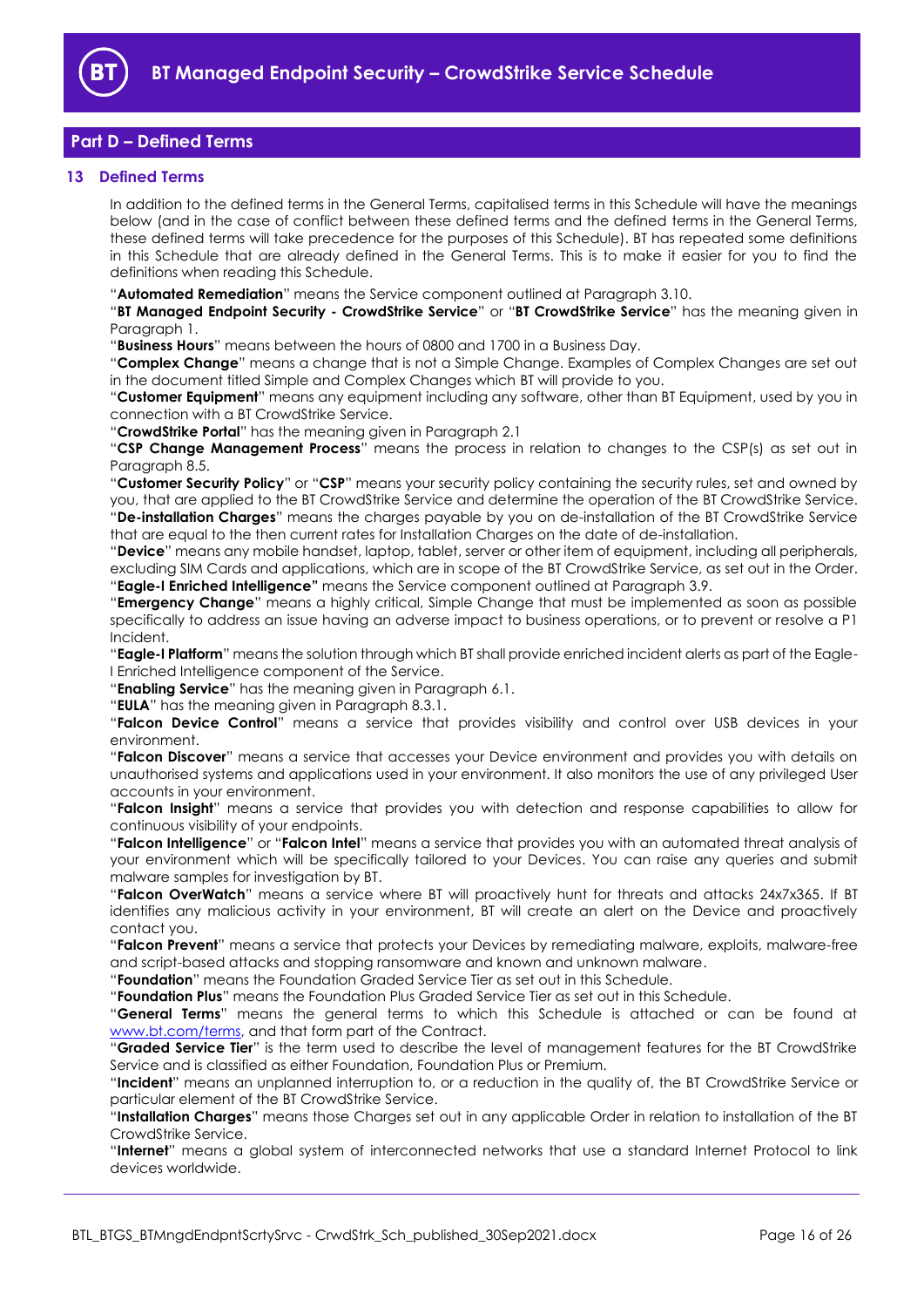

# <span id="page-15-0"></span>**Part D – Defined Terms**

### <span id="page-15-1"></span>**13 Defined Terms**

In addition to the defined terms in the General Terms, capitalised terms in this Schedule will have the meanings below (and in the case of conflict between these defined terms and the defined terms in the General Terms, these defined terms will take precedence for the purposes of this Schedule). BT has repeated some definitions in this Schedule that are already defined in the General Terms. This is to make it easier for you to find the definitions when reading this Schedule.

"**Automated Remediation**" means the Service component outlined at Paragraph [3.10.](#page-2-1)

"**BT Managed Endpoint Security - CrowdStrike Service**" or "**BT CrowdStrike Service**" has the meaning given in Paragraph [1.](#page-1-3)

"**Business Hours**" means between the hours of 0800 and 1700 in a Business Day.

"**Complex Change**" means a change that is not a Simple Change. Examples of Complex Changes are set out in the document titled Simple and Complex Changes which BT will provide to you.

"**Customer Equipment**" means any equipment including any software, other than BT Equipment, used by you in connection with a BT CrowdStrike Service.

"**CrowdStrike Portal**" has the meaning given in Paragraph [2.1](#page-1-8)

"**CSP Change Management Process**" means the process in relation to changes to the CSP(s) as set out in Paragraph [8.5.](#page-6-3)

"**Customer Security Policy**" or "**CSP**" means your security policy containing the security rules, set and owned by you, that are applied to the BT CrowdStrike Service and determine the operation of the BT CrowdStrike Service. "**De-installation Charges**" means the charges payable by you on de-installation of the BT CrowdStrike Service that are equal to the then current rates for Installation Charges on the date of de-installation.

"**Device**" means any mobile handset, laptop, tablet, server or other item of equipment, including all peripherals, excluding SIM Cards and applications, which are in scope of the BT CrowdStrike Service, as set out in the Order. "**Eagle-I Enriched Intelligence"** means the Service component outlined at Paragraph [3.9.](#page-2-0)

"**Emergency Change**" means a highly critical, Simple Change that must be implemented as soon as possible specifically to address an issue having an adverse impact to business operations, or to prevent or resolve a P1 Incident.

"**Eagle-I Platform**" means the solution through which BT shall provide enriched incident alerts as part of the Eagle-I Enriched Intelligence component of the Service.

"**Enabling Service**" has the meaning given in Paragrap[h 6.1.](#page-4-6)

"**EULA**" has the meaning given in Paragraph [8.3.1.](#page-5-5)

"**Falcon Device Control**" means a service that provides visibility and control over USB devices in your environment.

"**Falcon Discover**" means a service that accesses your Device environment and provides you with details on unauthorised systems and applications used in your environment. It also monitors the use of any privileged User accounts in your environment.

"**Falcon Insight**" means a service that provides you with detection and response capabilities to allow for continuous visibility of your endpoints.

"**Falcon Intelligence**" or "**Falcon Intel**" means a service that provides you with an automated threat analysis of your environment which will be specifically tailored to your Devices. You can raise any queries and submit malware samples for investigation by BT.

"**Falcon OverWatch**" means a service where BT will proactively hunt for threats and attacks 24x7x365. If BT identifies any malicious activity in your environment, BT will create an alert on the Device and proactively contact you.

"**Falcon Prevent**" means a service that protects your Devices by remediating malware, exploits, malware-free and script-based attacks and stopping ransomware and known and unknown malware.

"**Foundation**" means the Foundation Graded Service Tier as set out in this Schedule.

"**Foundation Plus**" means the Foundation Plus Graded Service Tier as set out in this Schedule.

"**General Terms**" means the general terms to which this Schedule is attached or can be found at [www.bt.com/terms,](http://www.bt.com/terms) and that form part of the Contract.

"**Graded Service Tier**" is the term used to describe the level of management features for the BT CrowdStrike Service and is classified as either Foundation, Foundation Plus or Premium.

"**Incident**" means an unplanned interruption to, or a reduction in the quality of, the BT CrowdStrike Service or particular element of the BT CrowdStrike Service.

"**Installation Charges**" means those Charges set out in any applicable Order in relation to installation of the BT CrowdStrike Service.

"**Internet**" means a global system of interconnected networks that use a standard Internet Protocol to link devices worldwide.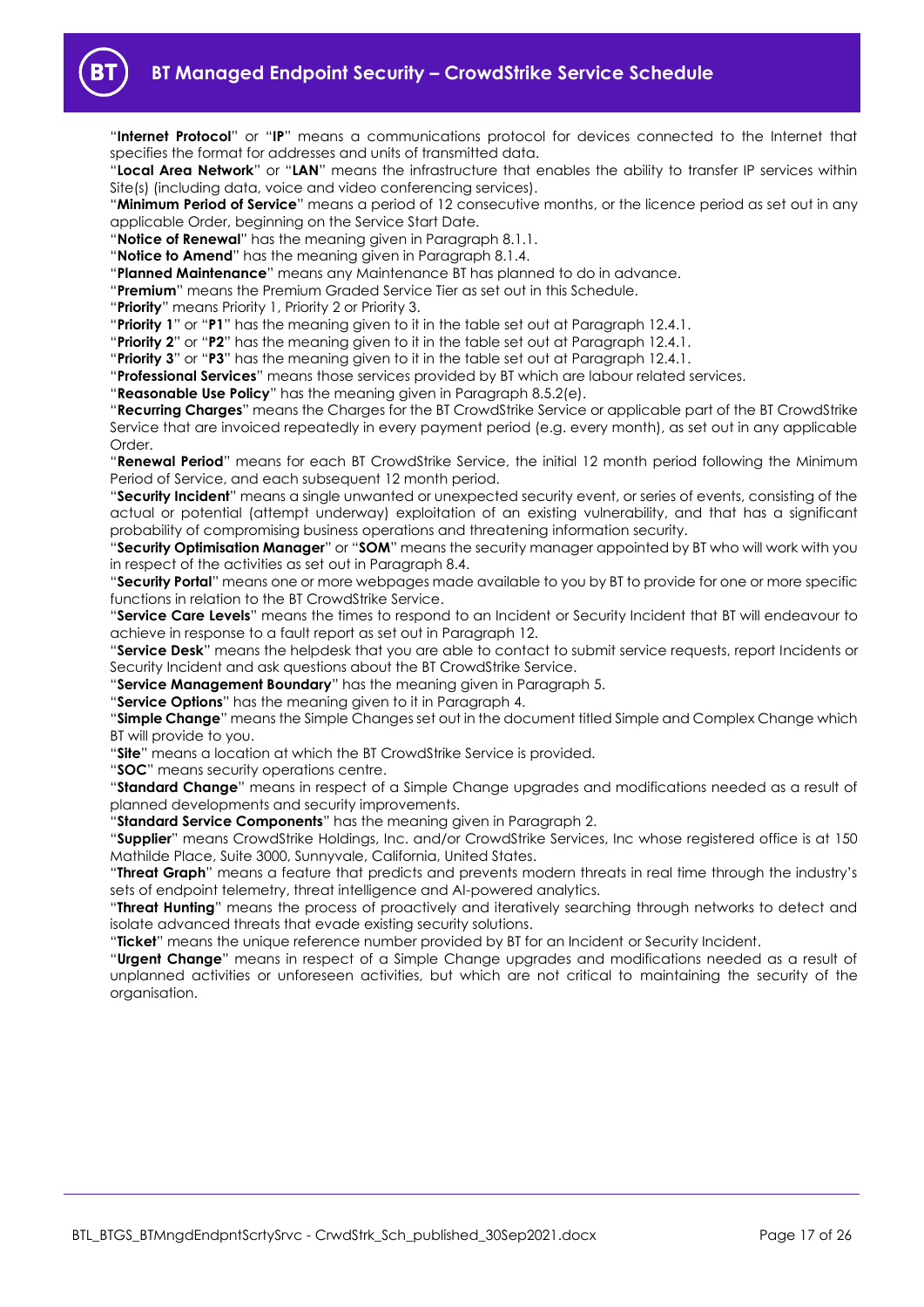

"**Internet Protocol**" or "**IP**" means a communications protocol for devices connected to the Internet that specifies the format for addresses and units of transmitted data.

"**Local Area Network**" or "**LAN**" means the infrastructure that enables the ability to transfer IP services within Site(s) (including data, voice and video conferencing services).

"**Minimum Period of Service**" means a period of 12 consecutive months, or the licence period as set out in any applicable Order, beginning on the Service Start Date.

"**Notice of Renewal**" has the meaning given in Paragraph [8.1.1.](#page-5-1)

"**Notice to Amend**" has the meaning given in Paragraph [8.1.4.](#page-5-6)

"**Planned Maintenance**" means any Maintenance BT has planned to do in advance.

"**Premium**" means the Premium Graded Service Tier as set out in this Schedule.

"**Priority**" means Priority 1, Priority 2 or Priority 3.

"**Priority 1**" or "**P1**" has the meaning given to it in the table set out at Paragraph [12.4.1.](#page-13-2)

"**Priority 2**" or "**P2**" has the meaning given to it in the table set out at Paragraph [12.4.1.](#page-13-2)

"**Priority 3**" or "**P3**" has the meaning given to it in the table set out at Paragraph [12.4.1.](#page-13-2)

"**Professional Services**" means those services provided by BT which are labour related services.

"**Reasonable Use Policy**" has the meaning given in Paragraph [8.5.2\(e\).](#page-7-0)

"**Recurring Charges**" means the Charges for the BT CrowdStrike Service or applicable part of the BT CrowdStrike Service that are invoiced repeatedly in every payment period (e.g. every month), as set out in any applicable Order<sub>.</sub>

"**Renewal Period**" means for each BT CrowdStrike Service, the initial 12 month period following the Minimum Period of Service, and each subsequent 12 month period.

"**Security Incident**" means a single unwanted or unexpected security event, or series of events, consisting of the actual or potential (attempt underway) exploitation of an existing vulnerability, and that has a significant probability of compromising business operations and threatening information security.

"**Security Optimisation Manager**" or "**SOM**" means the security manager appointed by BT who will work with you in respect of the activities as set out in Paragraph [8.4.](#page-5-7)

"**Security Portal**" means one or more webpages made available to you by BT to provide for one or more specific functions in relation to the BT CrowdStrike Service.

"**Service Care Levels**" means the times to respond to an Incident or Security Incident that BT will endeavour to achieve in response to a fault report as set out in Paragraph [12.](#page-13-1)

"**Service Desk**" means the helpdesk that you are able to contact to submit service requests, report Incidents or Security Incident and ask questions about the BT CrowdStrike Service.

"**Service Management Boundary**" has the meaning given in Paragrap[h 5.](#page-4-1)

"**Service Options**" has the meaning given to it in Paragraph [4.](#page-4-0)

"**Simple Change**" means the Simple Changes set out in the document titled Simple and Complex Change which BT will provide to you.

"**Site**" means a location at which the BT CrowdStrike Service is provided.

"**SOC**" means security operations centre.

"**Standard Change**" means in respect of a Simple Change upgrades and modifications needed as a result of planned developments and security improvements.

"**Standard Service Components**" has the meaning given in Paragraph [2.](#page-1-4)

"**Supplier**" means CrowdStrike Holdings, Inc. and/or CrowdStrike Services, Inc whose registered office is at 150 Mathilde Place, Suite 3000, Sunnyvale, California, United States.

"**Threat Graph**" means a feature that predicts and prevents modern threats in real time through the industry's sets of endpoint telemetry, threat intelligence and AI-powered analytics.

"**Threat Hunting**" means the process of proactively and iteratively searching through networks to detect and isolate advanced threats that evade existing security solutions.

"**Ticket**" means the unique reference number provided by BT for an Incident or Security Incident.

"**Urgent Change**" means in respect of a Simple Change upgrades and modifications needed as a result of unplanned activities or unforeseen activities, but which are not critical to maintaining the security of the organisation.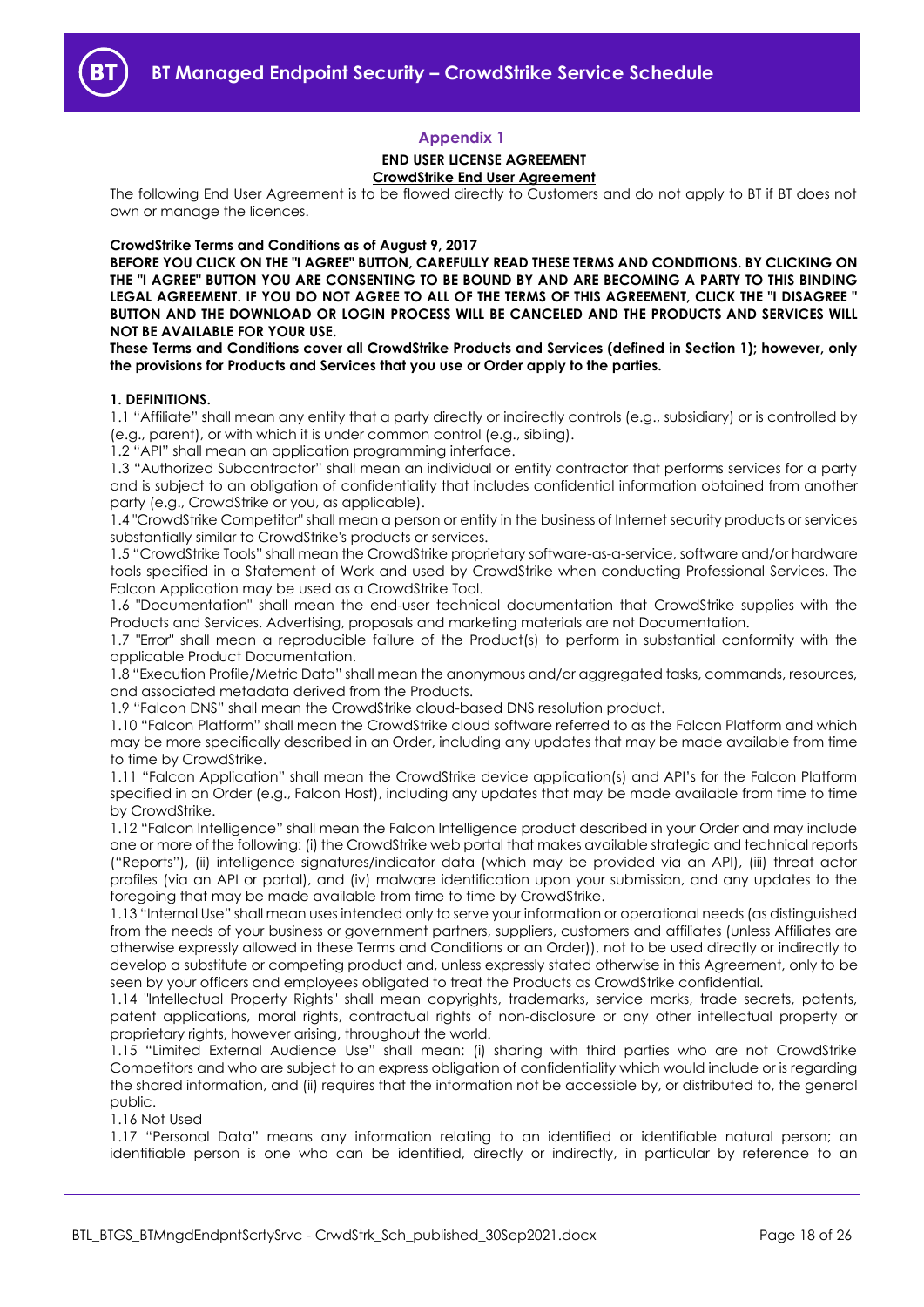### **Appendix 1**

### **END USER LICENSE AGREEMENT CrowdStrike End User Agreement**

<span id="page-17-0"></span>The following End User Agreement is to be flowed directly to Customers and do not apply to BT if BT does not own or manage the licences.

#### **CrowdStrike Terms and Conditions as of August 9, 2017**

**BEFORE YOU CLICK ON THE "I AGREE" BUTTON, CAREFULLY READ THESE TERMS AND CONDITIONS. BY CLICKING ON THE "I AGREE" BUTTON YOU ARE CONSENTING TO BE BOUND BY AND ARE BECOMING A PARTY TO THIS BINDING LEGAL AGREEMENT. IF YOU DO NOT AGREE TO ALL OF THE TERMS OF THIS AGREEMENT, CLICK THE "I DISAGREE " BUTTON AND THE DOWNLOAD OR LOGIN PROCESS WILL BE CANCELED AND THE PRODUCTS AND SERVICES WILL NOT BE AVAILABLE FOR YOUR USE.** 

**These Terms and Conditions cover all CrowdStrike Products and Services (defined in Section 1); however, only the provisions for Products and Services that you use or Order apply to the parties.** 

#### **1. DEFINITIONS.**

1.1 "Affiliate" shall mean any entity that a party directly or indirectly controls (e.g., subsidiary) or is controlled by (e.g., parent), or with which it is under common control (e.g., sibling).

1.2 "API" shall mean an application programming interface.

1.3 "Authorized Subcontractor" shall mean an individual or entity contractor that performs services for a party and is subject to an obligation of confidentiality that includes confidential information obtained from another party (e.g., CrowdStrike or you, as applicable).

1.4 "CrowdStrike Competitor" shall mean a person or entity in the business of Internet security products or services substantially similar to CrowdStrike's products or services.

1.5 "CrowdStrike Tools" shall mean the CrowdStrike proprietary software-as-a-service, software and/or hardware tools specified in a Statement of Work and used by CrowdStrike when conducting Professional Services. The Falcon Application may be used as a CrowdStrike Tool.

1.6 "Documentation" shall mean the end-user technical documentation that CrowdStrike supplies with the Products and Services. Advertising, proposals and marketing materials are not Documentation.

1.7 "Error" shall mean a reproducible failure of the Product(s) to perform in substantial conformity with the applicable Product Documentation.

1.8 "Execution Profile/Metric Data" shall mean the anonymous and/or aggregated tasks, commands, resources, and associated metadata derived from the Products.

1.9 "Falcon DNS" shall mean the CrowdStrike cloud-based DNS resolution product.

1.10 "Falcon Platform" shall mean the CrowdStrike cloud software referred to as the Falcon Platform and which may be more specifically described in an Order, including any updates that may be made available from time to time by CrowdStrike.

1.11 "Falcon Application" shall mean the CrowdStrike device application(s) and API's for the Falcon Platform specified in an Order (e.g., Falcon Host), including any updates that may be made available from time to time by CrowdStrike.

1.12 "Falcon Intelligence" shall mean the Falcon Intelligence product described in your Order and may include one or more of the following: (i) the CrowdStrike web portal that makes available strategic and technical reports ("Reports"), (ii) intelligence signatures/indicator data (which may be provided via an API), (iii) threat actor profiles (via an API or portal), and (iv) malware identification upon your submission, and any updates to the foregoing that may be made available from time to time by CrowdStrike.

1.13 "Internal Use" shall mean uses intended only to serve your information or operational needs (as distinguished from the needs of your business or government partners, suppliers, customers and affiliates (unless Affiliates are otherwise expressly allowed in these Terms and Conditions or an Order)), not to be used directly or indirectly to develop a substitute or competing product and, unless expressly stated otherwise in this Agreement, only to be seen by your officers and employees obligated to treat the Products as CrowdStrike confidential.

1.14 "Intellectual Property Rights" shall mean copyrights, trademarks, service marks, trade secrets, patents, patent applications, moral rights, contractual rights of non-disclosure or any other intellectual property or proprietary rights, however arising, throughout the world.

1.15 "Limited External Audience Use" shall mean: (i) sharing with third parties who are not CrowdStrike Competitors and who are subject to an express obligation of confidentiality which would include or is regarding the shared information, and (ii) requires that the information not be accessible by, or distributed to, the general public.

1.16 Not Used

1.17 "Personal Data" means any information relating to an identified or identifiable natural person; an identifiable person is one who can be identified, directly or indirectly, in particular by reference to an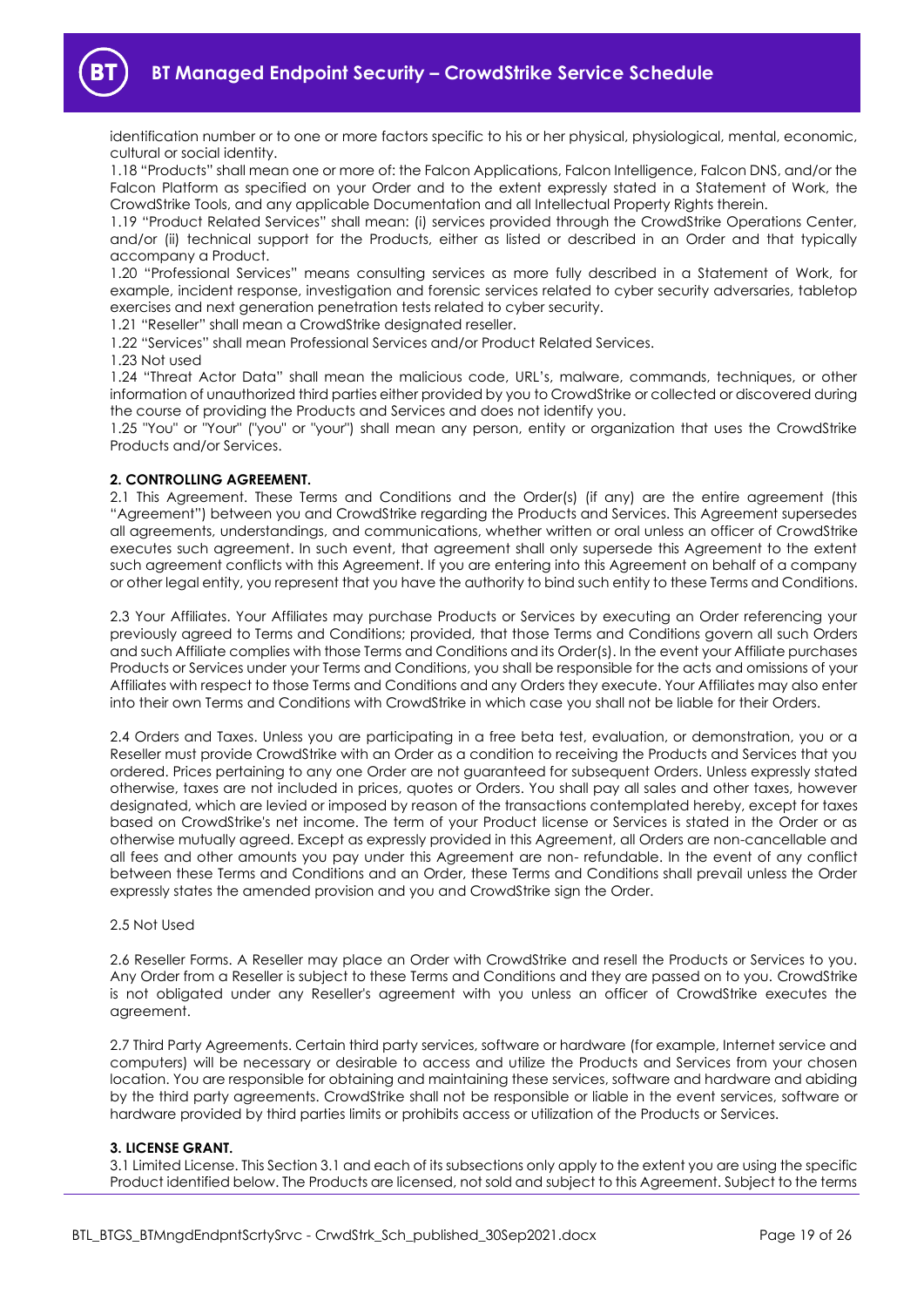

**BT Managed Endpoint Security – CrowdStrike Service Schedule**

identification number or to one or more factors specific to his or her physical, physiological, mental, economic, cultural or social identity.

1.18 "Products" shall mean one or more of: the Falcon Applications, Falcon Intelligence, Falcon DNS, and/or the Falcon Platform as specified on your Order and to the extent expressly stated in a Statement of Work, the CrowdStrike Tools, and any applicable Documentation and all Intellectual Property Rights therein.

1.19 "Product Related Services" shall mean: (i) services provided through the CrowdStrike Operations Center, and/or (ii) technical support for the Products, either as listed or described in an Order and that typically accompany a Product.

1.20 "Professional Services" means consulting services as more fully described in a Statement of Work, for example, incident response, investigation and forensic services related to cyber security adversaries, tabletop exercises and next generation penetration tests related to cyber security.

1.21 "Reseller" shall mean a CrowdStrike designated reseller.

1.22 "Services" shall mean Professional Services and/or Product Related Services.

1.23 Not used

1.24 "Threat Actor Data" shall mean the malicious code, URL's, malware, commands, techniques, or other information of unauthorized third parties either provided by you to CrowdStrike or collected or discovered during the course of providing the Products and Services and does not identify you.

1.25 "You" or "Your" ("you" or "your") shall mean any person, entity or organization that uses the CrowdStrike Products and/or Services.

#### **2. CONTROLLING AGREEMENT.**

2.1 This Agreement. These Terms and Conditions and the Order(s) (if any) are the entire agreement (this "Agreement") between you and CrowdStrike regarding the Products and Services. This Agreement supersedes all agreements, understandings, and communications, whether written or oral unless an officer of CrowdStrike executes such agreement. In such event, that agreement shall only supersede this Agreement to the extent such agreement conflicts with this Agreement. If you are entering into this Agreement on behalf of a company or other legal entity, you represent that you have the authority to bind such entity to these Terms and Conditions.

2.3 Your Affiliates. Your Affiliates may purchase Products or Services by executing an Order referencing your previously agreed to Terms and Conditions; provided, that those Terms and Conditions govern all such Orders and such Affiliate complies with those Terms and Conditions and its Order(s). In the event your Affiliate purchases Products or Services under your Terms and Conditions, you shall be responsible for the acts and omissions of your Affiliates with respect to those Terms and Conditions and any Orders they execute. Your Affiliates may also enter into their own Terms and Conditions with CrowdStrike in which case you shall not be liable for their Orders.

2.4 Orders and Taxes. Unless you are participating in a free beta test, evaluation, or demonstration, you or a Reseller must provide CrowdStrike with an Order as a condition to receiving the Products and Services that you ordered. Prices pertaining to any one Order are not guaranteed for subsequent Orders. Unless expressly stated otherwise, taxes are not included in prices, quotes or Orders. You shall pay all sales and other taxes, however designated, which are levied or imposed by reason of the transactions contemplated hereby, except for taxes based on CrowdStrike's net income. The term of your Product license or Services is stated in the Order or as otherwise mutually agreed. Except as expressly provided in this Agreement, all Orders are non-cancellable and all fees and other amounts you pay under this Agreement are non- refundable. In the event of any conflict between these Terms and Conditions and an Order, these Terms and Conditions shall prevail unless the Order expressly states the amended provision and you and CrowdStrike sign the Order.

#### 2.5 Not Used

2.6 Reseller Forms. A Reseller may place an Order with CrowdStrike and resell the Products or Services to you. Any Order from a Reseller is subject to these Terms and Conditions and they are passed on to you. CrowdStrike is not obligated under any Reseller's agreement with you unless an officer of CrowdStrike executes the agreement.

2.7 Third Party Agreements. Certain third party services, software or hardware (for example, Internet service and computers) will be necessary or desirable to access and utilize the Products and Services from your chosen location. You are responsible for obtaining and maintaining these services, software and hardware and abiding by the third party agreements. CrowdStrike shall not be responsible or liable in the event services, software or hardware provided by third parties limits or prohibits access or utilization of the Products or Services.

#### **3. LICENSE GRANT.**

3.1 Limited License. This Section 3.1 and each of its subsections only apply to the extent you are using the specific Product identified below. The Products are licensed, not sold and subject to this Agreement. Subject to the terms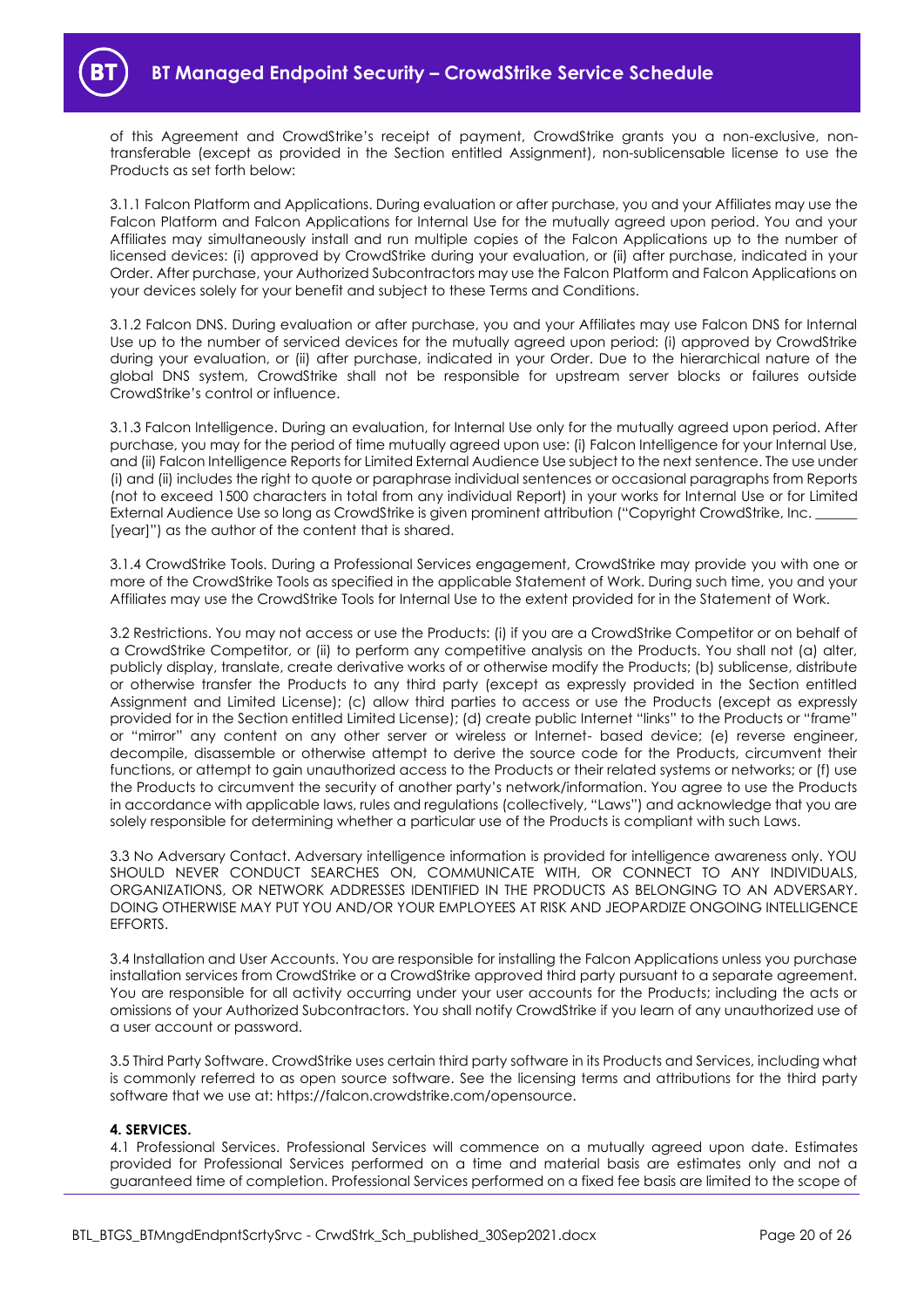

of this Agreement and CrowdStrike's receipt of payment, CrowdStrike grants you a non-exclusive, nontransferable (except as provided in the Section entitled Assignment), non-sublicensable license to use the Products as set forth below:

3.1.1 Falcon Platform and Applications. During evaluation or after purchase, you and your Affiliates may use the Falcon Platform and Falcon Applications for Internal Use for the mutually agreed upon period. You and your Affiliates may simultaneously install and run multiple copies of the Falcon Applications up to the number of licensed devices: (i) approved by CrowdStrike during your evaluation, or (ii) after purchase, indicated in your Order. After purchase, your Authorized Subcontractors may use the Falcon Platform and Falcon Applications on your devices solely for your benefit and subject to these Terms and Conditions.

3.1.2 Falcon DNS. During evaluation or after purchase, you and your Affiliates may use Falcon DNS for Internal Use up to the number of serviced devices for the mutually agreed upon period: (i) approved by CrowdStrike during your evaluation, or (ii) after purchase, indicated in your Order. Due to the hierarchical nature of the global DNS system, CrowdStrike shall not be responsible for upstream server blocks or failures outside CrowdStrike's control or influence.

3.1.3 Falcon Intelligence. During an evaluation, for Internal Use only for the mutually agreed upon period. After purchase, you may for the period of time mutually agreed upon use: (i) Falcon Intelligence for your Internal Use, and (ii) Falcon Intelligence Reports for Limited External Audience Use subject to the next sentence. The use under (i) and (ii) includes the right to quote or paraphrase individual sentences or occasional paragraphs from Reports (not to exceed 1500 characters in total from any individual Report) in your works for Internal Use or for Limited External Audience Use so long as CrowdStrike is given prominent attribution ("Copyright CrowdStrike, Inc. [year]") as the author of the content that is shared.

3.1.4 CrowdStrike Tools. During a Professional Services engagement, CrowdStrike may provide you with one or more of the CrowdStrike Tools as specified in the applicable Statement of Work. During such time, you and your Affiliates may use the CrowdStrike Tools for Internal Use to the extent provided for in the Statement of Work.

3.2 Restrictions. You may not access or use the Products: (i) if you are a CrowdStrike Competitor or on behalf of a CrowdStrike Competitor, or (ii) to perform any competitive analysis on the Products. You shall not (a) alter, publicly display, translate, create derivative works of or otherwise modify the Products; (b) sublicense, distribute or otherwise transfer the Products to any third party (except as expressly provided in the Section entitled Assignment and Limited License); (c) allow third parties to access or use the Products (except as expressly provided for in the Section entitled Limited License); (d) create public Internet "links" to the Products or "frame" or "mirror" any content on any other server or wireless or Internet- based device; (e) reverse engineer, decompile, disassemble or otherwise attempt to derive the source code for the Products, circumvent their functions, or attempt to gain unauthorized access to the Products or their related systems or networks; or (f) use the Products to circumvent the security of another party's network/information. You agree to use the Products in accordance with applicable laws, rules and regulations (collectively, "Laws") and acknowledge that you are solely responsible for determining whether a particular use of the Products is compliant with such Laws.

3.3 No Adversary Contact. Adversary intelligence information is provided for intelligence awareness only. YOU SHOULD NEVER CONDUCT SEARCHES ON, COMMUNICATE WITH, OR CONNECT TO ANY INDIVIDUALS, ORGANIZATIONS, OR NETWORK ADDRESSES IDENTIFIED IN THE PRODUCTS AS BELONGING TO AN ADVERSARY. DOING OTHERWISE MAY PUT YOU AND/OR YOUR EMPLOYEES AT RISK AND JEOPARDIZE ONGOING INTELLIGENCE EFFORTS.

3.4 Installation and User Accounts. You are responsible for installing the Falcon Applications unless you purchase installation services from CrowdStrike or a CrowdStrike approved third party pursuant to a separate agreement. You are responsible for all activity occurring under your user accounts for the Products; including the acts or omissions of your Authorized Subcontractors. You shall notify CrowdStrike if you learn of any unauthorized use of a user account or password.

3.5 Third Party Software. CrowdStrike uses certain third party software in its Products and Services, including what is commonly referred to as open source software. See the licensing terms and attributions for the third party software that we use at: https://falcon.crowdstrike.com/opensource.

### **4. SERVICES.**

4.1 Professional Services. Professional Services will commence on a mutually agreed upon date. Estimates provided for Professional Services performed on a time and material basis are estimates only and not a guaranteed time of completion. Professional Services performed on a fixed fee basis are limited to the scope of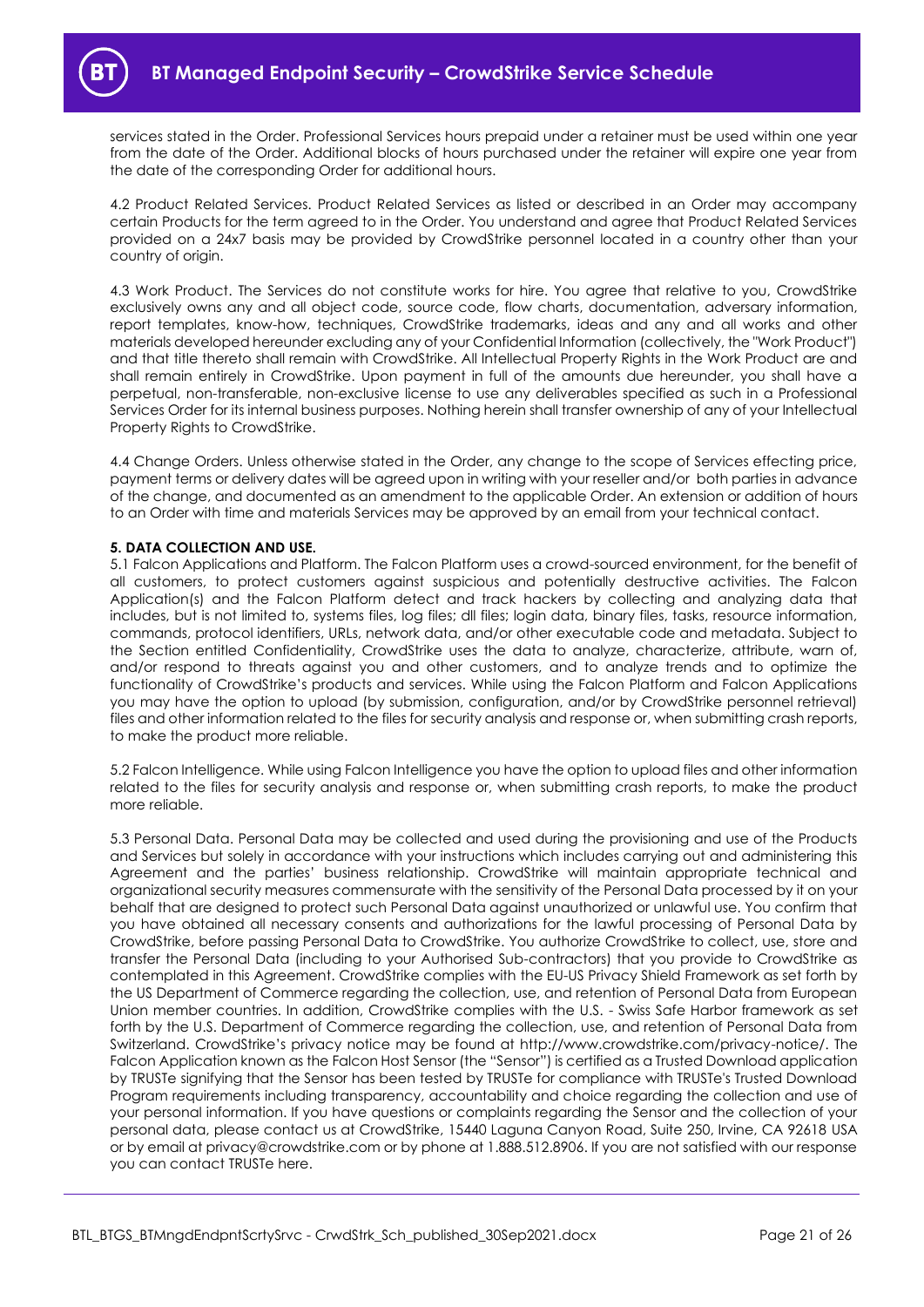services stated in the Order. Professional Services hours prepaid under a retainer must be used within one year from the date of the Order. Additional blocks of hours purchased under the retainer will expire one year from the date of the corresponding Order for additional hours.

4.2 Product Related Services. Product Related Services as listed or described in an Order may accompany certain Products for the term agreed to in the Order. You understand and agree that Product Related Services provided on a 24x7 basis may be provided by CrowdStrike personnel located in a country other than your country of origin.

4.3 Work Product. The Services do not constitute works for hire. You agree that relative to you, CrowdStrike exclusively owns any and all object code, source code, flow charts, documentation, adversary information, report templates, know-how, techniques, CrowdStrike trademarks, ideas and any and all works and other materials developed hereunder excluding any of your Confidential Information (collectively, the "Work Product") and that title thereto shall remain with CrowdStrike. All Intellectual Property Rights in the Work Product are and shall remain entirely in CrowdStrike. Upon payment in full of the amounts due hereunder, you shall have a perpetual, non-transferable, non-exclusive license to use any deliverables specified as such in a Professional Services Order for its internal business purposes. Nothing herein shall transfer ownership of any of your Intellectual Property Rights to CrowdStrike.

4.4 Change Orders. Unless otherwise stated in the Order, any change to the scope of Services effecting price, payment terms or delivery dates will be agreed upon in writing with your reseller and/or both parties in advance of the change, and documented as an amendment to the applicable Order. An extension or addition of hours to an Order with time and materials Services may be approved by an email from your technical contact.

### **5. DATA COLLECTION AND USE.**

5.1 Falcon Applications and Platform. The Falcon Platform uses a crowd-sourced environment, for the benefit of all customers, to protect customers against suspicious and potentially destructive activities. The Falcon Application(s) and the Falcon Platform detect and track hackers by collecting and analyzing data that includes, but is not limited to, systems files, log files; dll files; login data, binary files, tasks, resource information, commands, protocol identifiers, URLs, network data, and/or other executable code and metadata. Subject to the Section entitled Confidentiality, CrowdStrike uses the data to analyze, characterize, attribute, warn of, and/or respond to threats against you and other customers, and to analyze trends and to optimize the functionality of CrowdStrike's products and services. While using the Falcon Platform and Falcon Applications you may have the option to upload (by submission, configuration, and/or by CrowdStrike personnel retrieval) files and other information related to the files for security analysis and response or, when submitting crash reports, to make the product more reliable.

5.2 Falcon Intelligence. While using Falcon Intelligence you have the option to upload files and other information related to the files for security analysis and response or, when submitting crash reports, to make the product more reliable.

5.3 Personal Data. Personal Data may be collected and used during the provisioning and use of the Products and Services but solely in accordance with your instructions which includes carrying out and administering this Agreement and the parties' business relationship. CrowdStrike will maintain appropriate technical and organizational security measures commensurate with the sensitivity of the Personal Data processed by it on your behalf that are designed to protect such Personal Data against unauthorized or unlawful use. You confirm that you have obtained all necessary consents and authorizations for the lawful processing of Personal Data by CrowdStrike, before passing Personal Data to CrowdStrike. You authorize CrowdStrike to collect, use, store and transfer the Personal Data (including to your Authorised Sub-contractors) that you provide to CrowdStrike as contemplated in this Agreement. CrowdStrike complies with the EU-US Privacy Shield Framework as set forth by the US Department of Commerce regarding the collection, use, and retention of Personal Data from European Union member countries. In addition, CrowdStrike complies with the U.S. - Swiss Safe Harbor framework as set forth by the U.S. Department of Commerce regarding the collection, use, and retention of Personal Data from Switzerland. CrowdStrike's privacy notice may be found at http://www.crowdstrike.com/privacy-notice/. The Falcon Application known as the Falcon Host Sensor (the "Sensor") is certified as a Trusted Download application by TRUSTe signifying that the Sensor has been tested by TRUSTe for compliance with TRUSTe's Trusted Download Program requirements including transparency, accountability and choice regarding the collection and use of your personal information. If you have questions or complaints regarding the Sensor and the collection of your personal data, please contact us at CrowdStrike, 15440 Laguna Canyon Road, Suite 250, Irvine, CA 92618 USA or by email at privacy@crowdstrike.com or by phone at 1.888.512.8906. If you are not satisfied with our response you can contact TRUSTe here.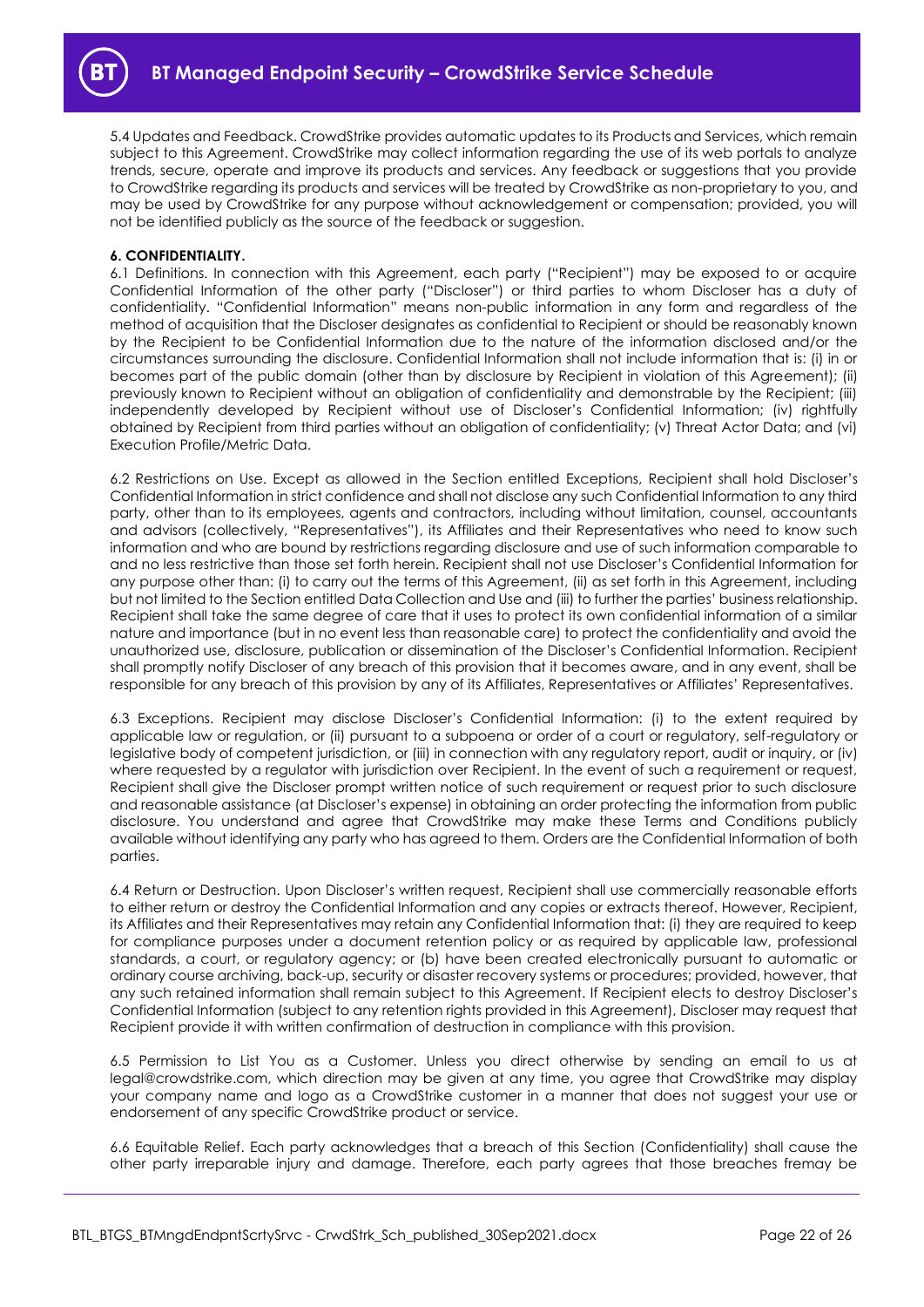

5.4 Updates and Feedback. CrowdStrike provides automatic updates to its Products and Services, which remain subject to this Agreement. CrowdStrike may collect information regarding the use of its web portals to analyze trends, secure, operate and improve its products and services. Any feedback or suggestions that you provide to CrowdStrike regarding its products and services will be treated by CrowdStrike as non-proprietary to you, and may be used by CrowdStrike for any purpose without acknowledgement or compensation; provided, you will not be identified publicly as the source of the feedback or suggestion.

#### **6. CONFIDENTIALITY.**

6.1 Definitions. In connection with this Agreement, each party ("Recipient") may be exposed to or acquire Confidential Information of the other party ("Discloser") or third parties to whom Discloser has a duty of confidentiality. "Confidential Information" means non-public information in any form and regardless of the method of acquisition that the Discloser designates as confidential to Recipient or should be reasonably known by the Recipient to be Confidential Information due to the nature of the information disclosed and/or the circumstances surrounding the disclosure. Confidential Information shall not include information that is: (i) in or becomes part of the public domain (other than by disclosure by Recipient in violation of this Agreement); (ii) previously known to Recipient without an obligation of confidentiality and demonstrable by the Recipient; (iii) independently developed by Recipient without use of Discloser's Confidential Information; (iv) rightfully obtained by Recipient from third parties without an obligation of confidentiality; (v) Threat Actor Data; and (vi) Execution Profile/Metric Data.

6.2 Restrictions on Use. Except as allowed in the Section entitled Exceptions, Recipient shall hold Discloser's Confidential Information in strict confidence and shall not disclose any such Confidential Information to any third party, other than to its employees, agents and contractors, including without limitation, counsel, accountants and advisors (collectively, "Representatives"), its Affiliates and their Representatives who need to know such information and who are bound by restrictions regarding disclosure and use of such information comparable to and no less restrictive than those set forth herein. Recipient shall not use Discloser's Confidential Information for any purpose other than: (i) to carry out the terms of this Agreement, (ii) as set forth in this Agreement, including but not limited to the Section entitled Data Collection and Use and (iii) to further the parties' business relationship. Recipient shall take the same degree of care that it uses to protect its own confidential information of a similar nature and importance (but in no event less than reasonable care) to protect the confidentiality and avoid the unauthorized use, disclosure, publication or dissemination of the Discloser's Confidential Information. Recipient shall promptly notify Discloser of any breach of this provision that it becomes aware, and in any event, shall be responsible for any breach of this provision by any of its Affiliates, Representatives or Affiliates' Representatives.

6.3 Exceptions. Recipient may disclose Discloser's Confidential Information: (i) to the extent required by applicable law or regulation, or (ii) pursuant to a subpoena or order of a court or regulatory, self-regulatory or legislative body of competent jurisdiction, or (iii) in connection with any regulatory report, audit or inquiry, or (iv) where requested by a regulator with jurisdiction over Recipient. In the event of such a requirement or request, Recipient shall give the Discloser prompt written notice of such requirement or request prior to such disclosure and reasonable assistance (at Discloser's expense) in obtaining an order protecting the information from public disclosure. You understand and agree that CrowdStrike may make these Terms and Conditions publicly available without identifying any party who has agreed to them. Orders are the Confidential Information of both parties.

6.4 Return or Destruction. Upon Discloser's written request, Recipient shall use commercially reasonable efforts to either return or destroy the Confidential Information and any copies or extracts thereof. However, Recipient, its Affiliates and their Representatives may retain any Confidential Information that: (i) they are required to keep for compliance purposes under a document retention policy or as required by applicable law, professional standards, a court, or regulatory agency; or (b) have been created electronically pursuant to automatic or ordinary course archiving, back-up, security or disaster recovery systems or procedures; provided, however, that any such retained information shall remain subject to this Agreement. If Recipient elects to destroy Discloser's Confidential Information (subject to any retention rights provided in this Agreement), Discloser may request that Recipient provide it with written confirmation of destruction in compliance with this provision.

6.5 Permission to List You as a Customer. Unless you direct otherwise by sending an email to us at legal@crowdstrike.com, which direction may be given at any time, you agree that CrowdStrike may display your company name and logo as a CrowdStrike customer in a manner that does not suggest your use or endorsement of any specific CrowdStrike product or service.

6.6 Equitable Relief. Each party acknowledges that a breach of this Section (Confidentiality) shall cause the other party irreparable injury and damage. Therefore, each party agrees that those breaches fremay be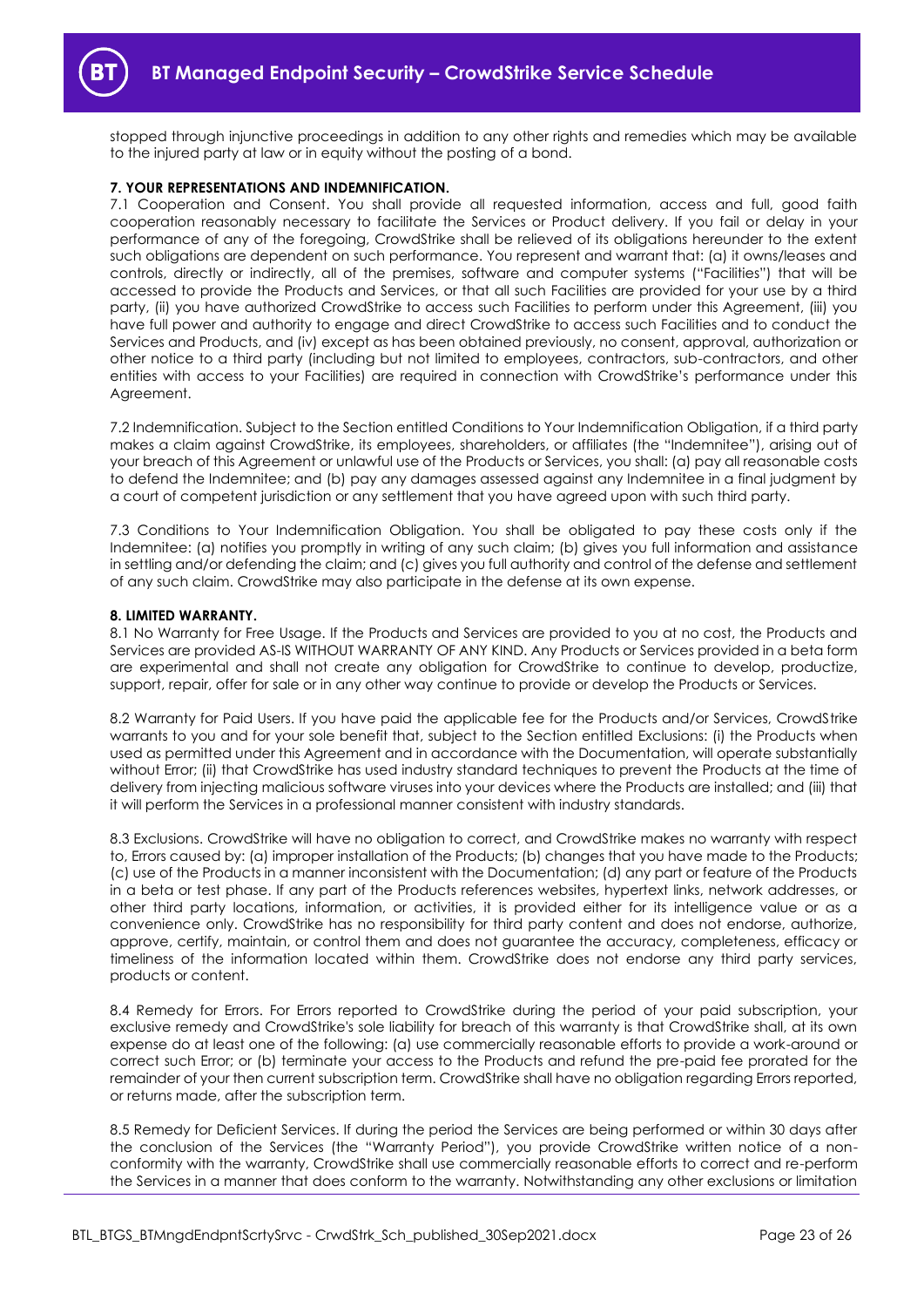stopped through injunctive proceedings in addition to any other rights and remedies which may be available to the injured party at law or in equity without the posting of a bond.

#### **7. YOUR REPRESENTATIONS AND INDEMNIFICATION.**

7.1 Cooperation and Consent. You shall provide all requested information, access and full, good faith cooperation reasonably necessary to facilitate the Services or Product delivery. If you fail or delay in your performance of any of the foregoing, CrowdStrike shall be relieved of its obligations hereunder to the extent such obligations are dependent on such performance. You represent and warrant that: (a) it owns/leases and controls, directly or indirectly, all of the premises, software and computer systems ("Facilities") that will be accessed to provide the Products and Services, or that all such Facilities are provided for your use by a third party, (ii) you have authorized CrowdStrike to access such Facilities to perform under this Agreement, (iii) you have full power and authority to engage and direct CrowdStrike to access such Facilities and to conduct the Services and Products, and (iv) except as has been obtained previously, no consent, approval, authorization or other notice to a third party (including but not limited to employees, contractors, sub-contractors, and other entities with access to your Facilities) are required in connection with CrowdStrike's performance under this Agreement.

7.2 Indemnification. Subject to the Section entitled Conditions to Your Indemnification Obligation, if a third party makes a claim against CrowdStrike, its employees, shareholders, or affiliates (the "Indemnitee"), arising out of your breach of this Agreement or unlawful use of the Products or Services, you shall: (a) pay all reasonable costs to defend the Indemnitee; and (b) pay any damages assessed against any Indemnitee in a final judgment by a court of competent jurisdiction or any settlement that you have agreed upon with such third party.

7.3 Conditions to Your Indemnification Obligation. You shall be obligated to pay these costs only if the Indemnitee: (a) notifies you promptly in writing of any such claim; (b) gives you full information and assistance in settling and/or defending the claim; and (c) gives you full authority and control of the defense and settlement of any such claim. CrowdStrike may also participate in the defense at its own expense.

#### **8. LIMITED WARRANTY.**

8.1 No Warranty for Free Usage. If the Products and Services are provided to you at no cost, the Products and Services are provided AS-IS WITHOUT WARRANTY OF ANY KIND. Any Products or Services provided in a beta form are experimental and shall not create any obligation for CrowdStrike to continue to develop, productize, support, repair, offer for sale or in any other way continue to provide or develop the Products or Services.

8.2 Warranty for Paid Users. If you have paid the applicable fee for the Products and/or Services, CrowdStrike warrants to you and for your sole benefit that, subject to the Section entitled Exclusions: (i) the Products when used as permitted under this Agreement and in accordance with the Documentation, will operate substantially without Error; (ii) that CrowdStrike has used industry standard techniques to prevent the Products at the time of delivery from injecting malicious software viruses into your devices where the Products are installed; and (iii) that it will perform the Services in a professional manner consistent with industry standards.

8.3 Exclusions. CrowdStrike will have no obligation to correct, and CrowdStrike makes no warranty with respect to, Errors caused by: (a) improper installation of the Products; (b) changes that you have made to the Products; (c) use of the Products in a manner inconsistent with the Documentation; (d) any part or feature of the Products in a beta or test phase. If any part of the Products references websites, hypertext links, network addresses, or other third party locations, information, or activities, it is provided either for its intelligence value or as a convenience only. CrowdStrike has no responsibility for third party content and does not endorse, authorize, approve, certify, maintain, or control them and does not guarantee the accuracy, completeness, efficacy or timeliness of the information located within them. CrowdStrike does not endorse any third party services, products or content.

8.4 Remedy for Errors. For Errors reported to CrowdStrike during the period of your paid subscription, your exclusive remedy and CrowdStrike's sole liability for breach of this warranty is that CrowdStrike shall, at its own expense do at least one of the following: (a) use commercially reasonable efforts to provide a work-around or correct such Error; or (b) terminate your access to the Products and refund the pre-paid fee prorated for the remainder of your then current subscription term. CrowdStrike shall have no obligation regarding Errors reported, or returns made, after the subscription term.

8.5 Remedy for Deficient Services. If during the period the Services are being performed or within 30 days after the conclusion of the Services (the "Warranty Period"), you provide CrowdStrike written notice of a nonconformity with the warranty, CrowdStrike shall use commercially reasonable efforts to correct and re-perform the Services in a manner that does conform to the warranty. Notwithstanding any other exclusions or limitation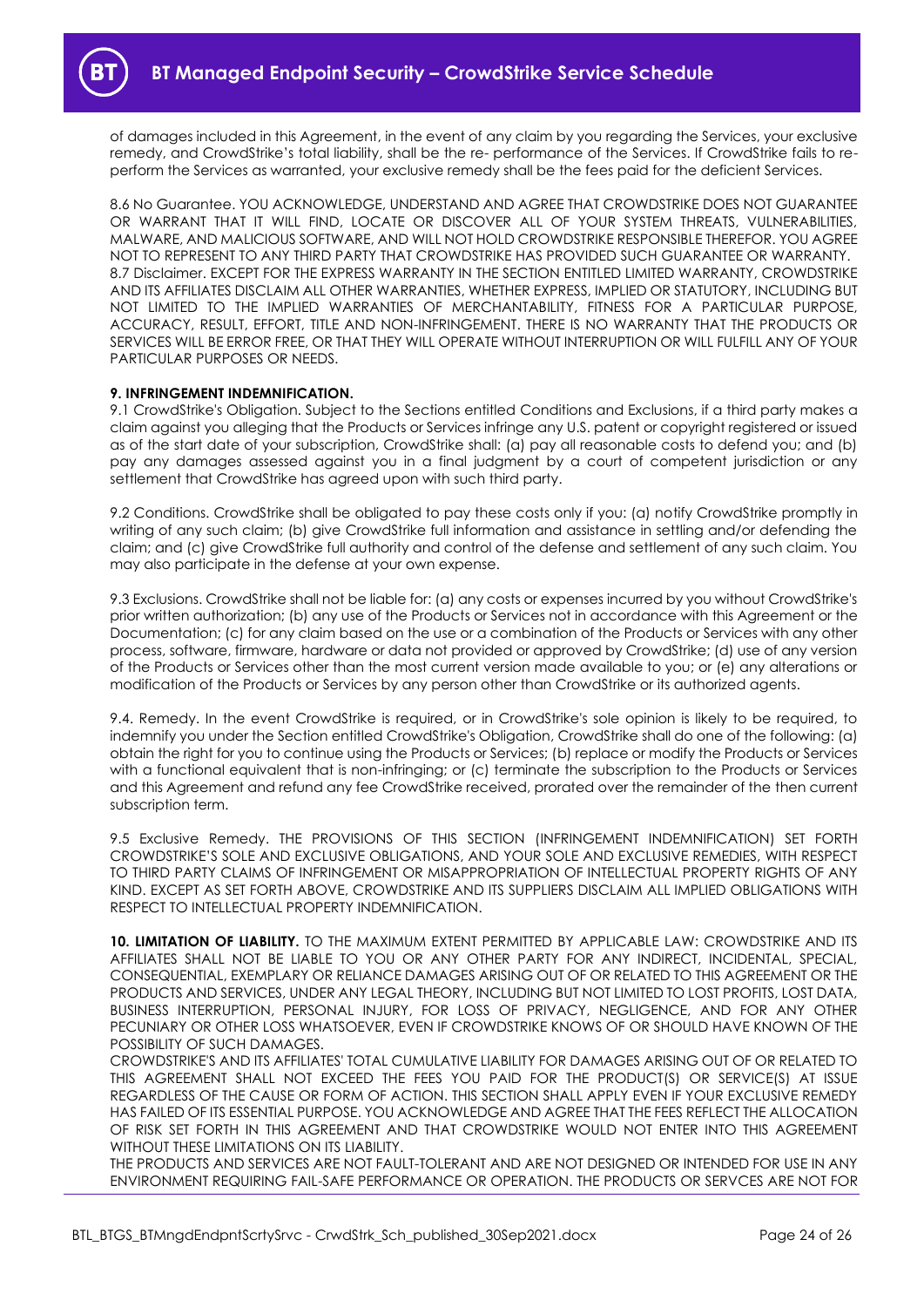of damages included in this Agreement, in the event of any claim by you regarding the Services, your exclusive remedy, and CrowdStrike's total liability, shall be the re- performance of the Services. If CrowdStrike fails to reperform the Services as warranted, your exclusive remedy shall be the fees paid for the deficient Services.

8.6 No Guarantee. YOU ACKNOWLEDGE, UNDERSTAND AND AGREE THAT CROWDSTRIKE DOES NOT GUARANTEE OR WARRANT THAT IT WILL FIND, LOCATE OR DISCOVER ALL OF YOUR SYSTEM THREATS, VULNERABILITIES, MALWARE, AND MALICIOUS SOFTWARE, AND WILL NOT HOLD CROWDSTRIKE RESPONSIBLE THEREFOR. YOU AGREE NOT TO REPRESENT TO ANY THIRD PARTY THAT CROWDSTRIKE HAS PROVIDED SUCH GUARANTEE OR WARRANTY. 8.7 Disclaimer. EXCEPT FOR THE EXPRESS WARRANTY IN THE SECTION ENTITLED LIMITED WARRANTY, CROWDSTRIKE AND ITS AFFILIATES DISCLAIM ALL OTHER WARRANTIES, WHETHER EXPRESS, IMPLIED OR STATUTORY, INCLUDING BUT NOT LIMITED TO THE IMPLIED WARRANTIES OF MERCHANTABILITY, FITNESS FOR A PARTICULAR PURPOSE, ACCURACY, RESULT, EFFORT, TITLE AND NON-INFRINGEMENT. THERE IS NO WARRANTY THAT THE PRODUCTS OR SERVICES WILL BE ERROR FREE, OR THAT THEY WILL OPERATE WITHOUT INTERRUPTION OR WILL FULFILL ANY OF YOUR PARTICULAR PURPOSES OR NEEDS.

#### **9. INFRINGEMENT INDEMNIFICATION.**

9.1 CrowdStrike's Obligation. Subject to the Sections entitled Conditions and Exclusions, if a third party makes a claim against you alleging that the Products or Services infringe any U.S. patent or copyright registered or issued as of the start date of your subscription, CrowdStrike shall: (a) pay all reasonable costs to defend you; and (b) pay any damages assessed against you in a final judgment by a court of competent jurisdiction or any settlement that CrowdStrike has agreed upon with such third party.

9.2 Conditions. CrowdStrike shall be obligated to pay these costs only if you: (a) notify CrowdStrike promptly in writing of any such claim; (b) give CrowdStrike full information and assistance in settling and/or defending the claim; and (c) give CrowdStrike full authority and control of the defense and settlement of any such claim. You may also participate in the defense at your own expense.

9.3 Exclusions. CrowdStrike shall not be liable for: (a) any costs or expenses incurred by you without CrowdStrike's prior written authorization; (b) any use of the Products or Services not in accordance with this Agreement or the Documentation; (c) for any claim based on the use or a combination of the Products or Services with any other process, software, firmware, hardware or data not provided or approved by CrowdStrike; (d) use of any version of the Products or Services other than the most current version made available to you; or (e) any alterations or modification of the Products or Services by any person other than CrowdStrike or its authorized agents.

9.4. Remedy. In the event CrowdStrike is required, or in CrowdStrike's sole opinion is likely to be required, to indemnify you under the Section entitled CrowdStrike's Obligation, CrowdStrike shall do one of the following: (a) obtain the right for you to continue using the Products or Services; (b) replace or modify the Products or Services with a functional equivalent that is non-infringing; or (c) terminate the subscription to the Products or Services and this Agreement and refund any fee CrowdStrike received, prorated over the remainder of the then current subscription term.

9.5 Exclusive Remedy. THE PROVISIONS OF THIS SECTION (INFRINGEMENT INDEMNIFICATION) SET FORTH CROWDSTRIKE'S SOLE AND EXCLUSIVE OBLIGATIONS, AND YOUR SOLE AND EXCLUSIVE REMEDIES, WITH RESPECT TO THIRD PARTY CLAIMS OF INFRINGEMENT OR MISAPPROPRIATION OF INTELLECTUAL PROPERTY RIGHTS OF ANY KIND. EXCEPT AS SET FORTH ABOVE, CROWDSTRIKE AND ITS SUPPLIERS DISCLAIM ALL IMPLIED OBLIGATIONS WITH RESPECT TO INTELLECTUAL PROPERTY INDEMNIFICATION.

**10. LIMITATION OF LIABILITY.** TO THE MAXIMUM EXTENT PERMITTED BY APPLICABLE LAW: CROWDSTRIKE AND ITS AFFILIATES SHALL NOT BE LIABLE TO YOU OR ANY OTHER PARTY FOR ANY INDIRECT, INCIDENTAL, SPECIAL, CONSEQUENTIAL, EXEMPLARY OR RELIANCE DAMAGES ARISING OUT OF OR RELATED TO THIS AGREEMENT OR THE PRODUCTS AND SERVICES, UNDER ANY LEGAL THEORY, INCLUDING BUT NOT LIMITED TO LOST PROFITS, LOST DATA, BUSINESS INTERRUPTION, PERSONAL INJURY, FOR LOSS OF PRIVACY, NEGLIGENCE, AND FOR ANY OTHER PECUNIARY OR OTHER LOSS WHATSOEVER, EVEN IF CROWDSTRIKE KNOWS OF OR SHOULD HAVE KNOWN OF THE POSSIBILITY OF SUCH DAMAGES.

CROWDSTRIKE'S AND ITS AFFILIATES' TOTAL CUMULATIVE LIABILITY FOR DAMAGES ARISING OUT OF OR RELATED TO THIS AGREEMENT SHALL NOT EXCEED THE FEES YOU PAID FOR THE PRODUCT(S) OR SERVICE(S) AT ISSUE REGARDLESS OF THE CAUSE OR FORM OF ACTION. THIS SECTION SHALL APPLY EVEN IF YOUR EXCLUSIVE REMEDY HAS FAILED OF ITS ESSENTIAL PURPOSE. YOU ACKNOWLEDGE AND AGREE THAT THE FEES REFLECT THE ALLOCATION OF RISK SET FORTH IN THIS AGREEMENT AND THAT CROWDSTRIKE WOULD NOT ENTER INTO THIS AGREEMENT WITHOUT THESE LIMITATIONS ON ITS LIABILITY.

THE PRODUCTS AND SERVICES ARE NOT FAULT-TOLERANT AND ARE NOT DESIGNED OR INTENDED FOR USE IN ANY ENVIRONMENT REQUIRING FAIL-SAFE PERFORMANCE OR OPERATION. THE PRODUCTS OR SERVCES ARE NOT FOR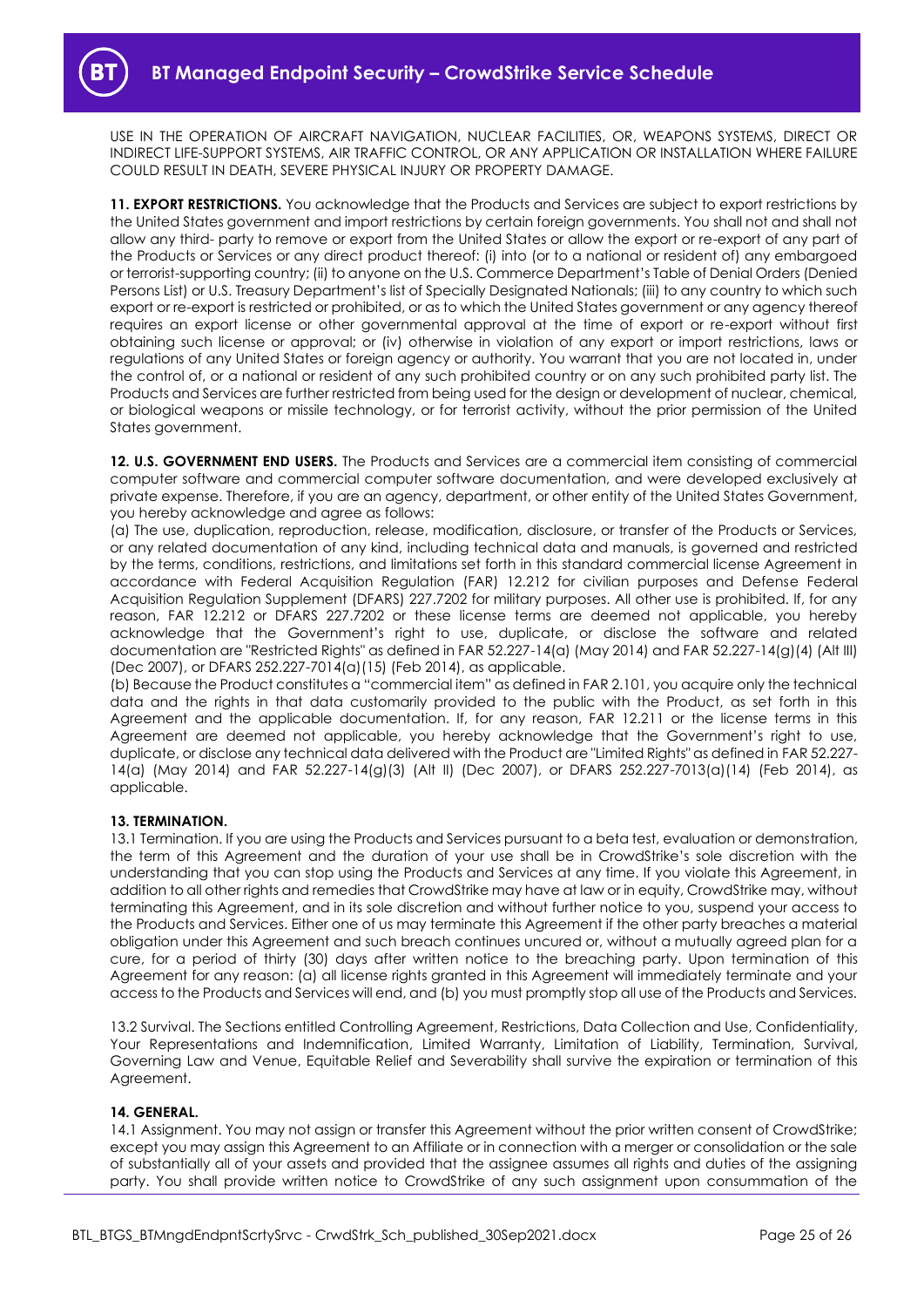USE IN THE OPERATION OF AIRCRAFT NAVIGATION, NUCLEAR FACILITIES, OR, WEAPONS SYSTEMS, DIRECT OR INDIRECT LIFE-SUPPORT SYSTEMS, AIR TRAFFIC CONTROL, OR ANY APPLICATION OR INSTALLATION WHERE FAILURE COULD RESULT IN DEATH, SEVERE PHYSICAL INJURY OR PROPERTY DAMAGE.

**11. EXPORT RESTRICTIONS.** You acknowledge that the Products and Services are subject to export restrictions by the United States government and import restrictions by certain foreign governments. You shall not and shall not allow any third- party to remove or export from the United States or allow the export or re-export of any part of the Products or Services or any direct product thereof: (i) into (or to a national or resident of) any embargoed or terrorist-supporting country; (ii) to anyone on the U.S. Commerce Department's Table of Denial Orders (Denied Persons List) or U.S. Treasury Department's list of Specially Designated Nationals; (iii) to any country to which such export or re-export is restricted or prohibited, or as to which the United States government or any agency thereof requires an export license or other governmental approval at the time of export or re-export without first obtaining such license or approval; or (iv) otherwise in violation of any export or import restrictions, laws or regulations of any United States or foreign agency or authority. You warrant that you are not located in, under the control of, or a national or resident of any such prohibited country or on any such prohibited party list. The Products and Services are further restricted from being used for the design or development of nuclear, chemical, or biological weapons or missile technology, or for terrorist activity, without the prior permission of the United States government.

**12. U.S. GOVERNMENT END USERS.** The Products and Services are a commercial item consisting of commercial computer software and commercial computer software documentation, and were developed exclusively at private expense. Therefore, if you are an agency, department, or other entity of the United States Government, you hereby acknowledge and agree as follows:

(a) The use, duplication, reproduction, release, modification, disclosure, or transfer of the Products or Services, or any related documentation of any kind, including technical data and manuals, is governed and restricted by the terms, conditions, restrictions, and limitations set forth in this standard commercial license Agreement in accordance with Federal Acquisition Regulation (FAR) 12.212 for civilian purposes and Defense Federal Acquisition Regulation Supplement (DFARS) 227.7202 for military purposes. All other use is prohibited. If, for any reason, FAR 12.212 or DFARS 227.7202 or these license terms are deemed not applicable, you hereby acknowledge that the Government's right to use, duplicate, or disclose the software and related documentation are "Restricted Rights" as defined in FAR 52.227-14(a) (May 2014) and FAR 52.227-14(g)(4) (Alt III) (Dec 2007), or DFARS 252.227-7014(a)(15) (Feb 2014), as applicable.

(b) Because the Product constitutes a "commercial item" as defined in FAR 2.101, you acquire only the technical data and the rights in that data customarily provided to the public with the Product, as set forth in this Agreement and the applicable documentation. If, for any reason, FAR 12.211 or the license terms in this Agreement are deemed not applicable, you hereby acknowledge that the Government's right to use, duplicate, or disclose any technical data delivered with the Product are "Limited Rights" as defined in FAR 52.227- 14(a) (May 2014) and FAR 52.227-14(g)(3) (Alt II) (Dec 2007), or DFARS 252.227-7013(a)(14) (Feb 2014), as applicable.

### **13. TERMINATION.**

13.1 Termination. If you are using the Products and Services pursuant to a beta test, evaluation or demonstration, the term of this Agreement and the duration of your use shall be in CrowdStrike's sole discretion with the understanding that you can stop using the Products and Services at any time. If you violate this Agreement, in addition to all other rights and remedies that CrowdStrike may have at law or in equity, CrowdStrike may, without terminating this Agreement, and in its sole discretion and without further notice to you, suspend your access to the Products and Services. Either one of us may terminate this Agreement if the other party breaches a material obligation under this Agreement and such breach continues uncured or, without a mutually agreed plan for a cure, for a period of thirty (30) days after written notice to the breaching party. Upon termination of this Agreement for any reason: (a) all license rights granted in this Agreement will immediately terminate and your access to the Products and Services will end, and (b) you must promptly stop all use of the Products and Services.

13.2 Survival. The Sections entitled Controlling Agreement, Restrictions, Data Collection and Use, Confidentiality, Your Representations and Indemnification, Limited Warranty, Limitation of Liability, Termination, Survival, Governing Law and Venue, Equitable Relief and Severability shall survive the expiration or termination of this Agreement.

#### **14. GENERAL.**

14.1 Assignment. You may not assign or transfer this Agreement without the prior written consent of CrowdStrike; except you may assign this Agreement to an Affiliate or in connection with a merger or consolidation or the sale of substantially all of your assets and provided that the assignee assumes all rights and duties of the assigning party. You shall provide written notice to CrowdStrike of any such assignment upon consummation of the